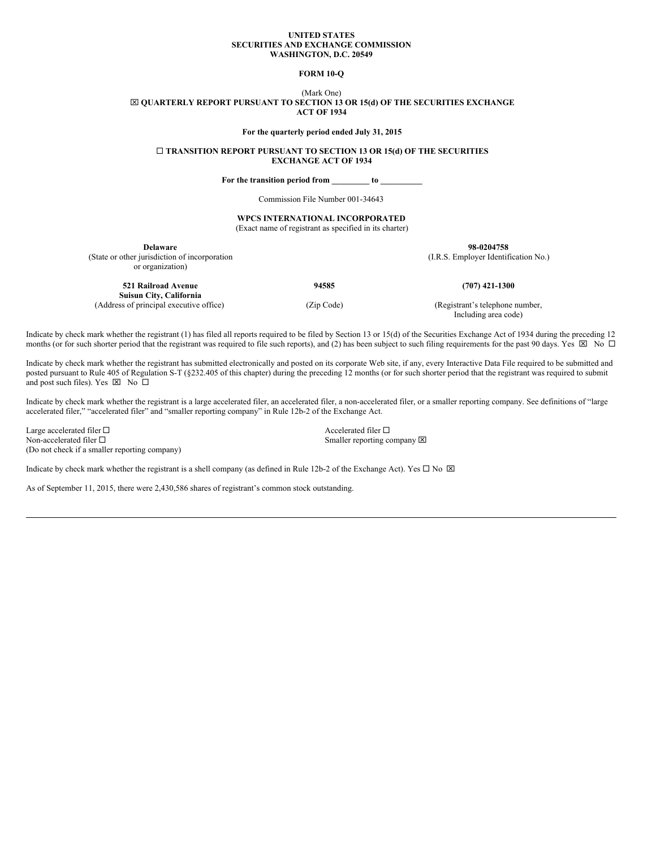#### **UNITED STATES SECURITIES AND EXCHANGE COMMISSION WASHINGTON, D.C. 20549**

### **FORM 10-Q**

#### (Mark One) x **QUARTERLY REPORT PURSUANT TO SECTION 13 OR 15(d) OF THE SECURITIES EXCHANGE ACT OF 1934**

**For the quarterly period ended July 31, 2015**

¨ **TRANSITION REPORT PURSUANT TO SECTION 13 OR 15(d) OF THE SECURITIES EXCHANGE ACT OF 1934**

**For the transition period from \_\_\_\_\_\_\_\_\_ to \_\_\_\_\_\_\_\_\_\_**

Commission File Number 001-34643

# **WPCS INTERNATIONAL INCORPORATED**

(Exact name of registrant as specified in its charter)

(State or other jurisdiction of incorporation (I.R.S. Employer Identification No.) or organization)

**Delaware 98-0204758**

**521 Railroad Avenue 94585 (707) 421-1300 Suisun City, California** (Address of principal executive office) (Zip Code) (Registrant's telephone number,

Including area code)

Indicate by check mark whether the registrant (1) has filed all reports required to be filed by Section 13 or 15(d) of the Securities Exchange Act of 1934 during the preceding 12 months (or for such shorter period that the registrant was required to file such reports), and (2) has been subject to such filing requirements for the past 90 days. Yes  $\boxtimes$  No  $\Box$ 

Indicate by check mark whether the registrant has submitted electronically and posted on its corporate Web site, if any, every Interactive Data File required to be submitted and posted pursuant to Rule 405 of Regulation S-T (§232.405 of this chapter) during the preceding 12 months (or for such shorter period that the registrant was required to submit and post such files). Yes  $\boxtimes$  No  $\square$ 

Indicate by check mark whether the registrant is a large accelerated filer, an accelerated filer, a non-accelerated filer, or a smaller reporting company. See definitions of "large accelerated filer," "accelerated filer" and "smaller reporting company" in Rule 12b-2 of the Exchange Act.

Large accelerated filer  $\Box$ <br/> $\hfill$  Accelerated filer $\Box$ Non-accelerated filer  $\square$  Smaller reporting company  $\square$ (Do not check if a smaller reporting company)

Indicate by check mark whether the registrant is a shell company (as defined in Rule 12b-2 of the Exchange Act). Yes  $\Box$  No  $\boxtimes$ 

As of September 11, 2015, there were 2,430,586 shares of registrant's common stock outstanding.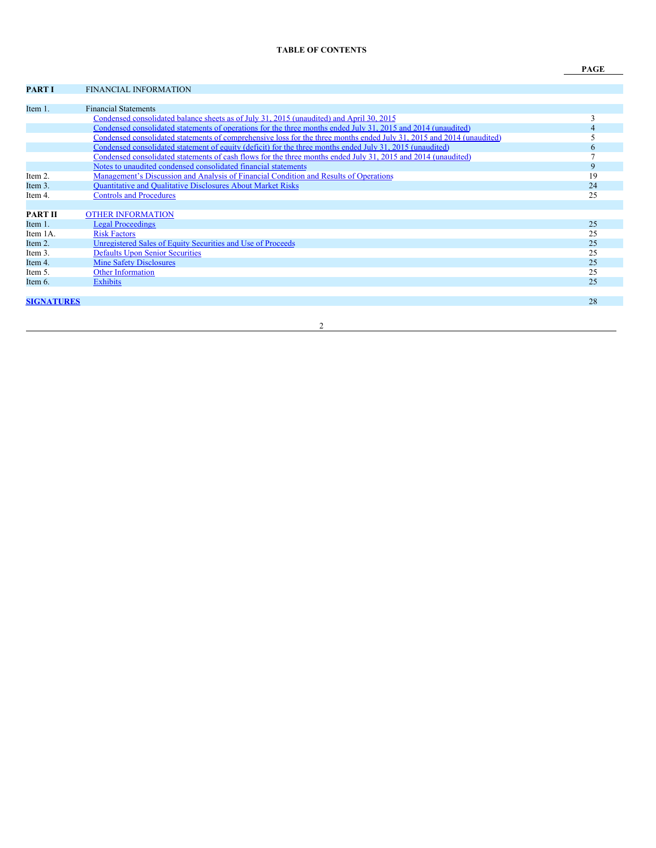# **TABLE OF CONTENTS**

# **PAGE**

| <b>PART I</b>     | <b>FINANCIAL INFORMATION</b>                                                                                          |    |
|-------------------|-----------------------------------------------------------------------------------------------------------------------|----|
|                   |                                                                                                                       |    |
| Item 1.           | <b>Financial Statements</b>                                                                                           |    |
|                   | Condensed consolidated balance sheets as of July 31, 2015 (unaudited) and April 30, 2015                              |    |
|                   | Condensed consolidated statements of operations for the three months ended July 31, 2015 and 2014 (unaudited)         |    |
|                   | Condensed consolidated statements of comprehensive loss for the three months ended July 31, 2015 and 2014 (unaudited) |    |
|                   | Condensed consolidated statement of equity (deficit) for the three months ended July 31, 2015 (unaudited)             | 6  |
|                   | Condensed consolidated statements of cash flows for the three months ended July 31, 2015 and 2014 (unaudited)         |    |
|                   | Notes to unaudited condensed consolidated financial statements                                                        | 9  |
| Item 2.           | Management's Discussion and Analysis of Financial Condition and Results of Operations                                 | 19 |
| Item 3.           | <b>Quantitative and Qualitative Disclosures About Market Risks</b>                                                    | 24 |
| Item 4.           | <b>Controls and Procedures</b>                                                                                        | 25 |
|                   |                                                                                                                       |    |
| <b>PART II</b>    | <b>OTHER INFORMATION</b>                                                                                              |    |
| Item 1.           | <b>Legal Proceedings</b>                                                                                              | 25 |
| Item 1A.          | <b>Risk Factors</b>                                                                                                   | 25 |
| Item 2.           | Unregistered Sales of Equity Securities and Use of Proceeds                                                           | 25 |
| Item 3.           | <b>Defaults Upon Senior Securities</b>                                                                                | 25 |
| Item 4.           | <b>Mine Safety Disclosures</b>                                                                                        | 25 |
| Item 5.           | <b>Other Information</b>                                                                                              | 25 |
| Item 6.           | <b>Exhibits</b>                                                                                                       | 25 |
|                   |                                                                                                                       |    |
| <b>SIGNATURES</b> |                                                                                                                       | 28 |
|                   |                                                                                                                       |    |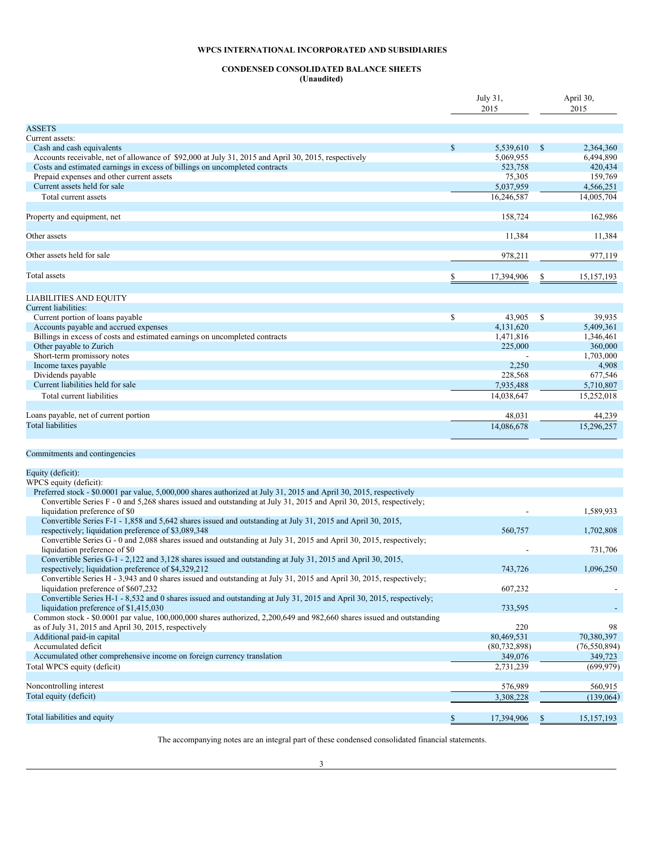# <span id="page-2-0"></span>**CONDENSED CONSOLIDATED BALANCE SHEETS (Unaudited)**

|                                                                                                                                                                                                                                            |              | July 31,<br>2015 |              | April 30,<br>2015 |
|--------------------------------------------------------------------------------------------------------------------------------------------------------------------------------------------------------------------------------------------|--------------|------------------|--------------|-------------------|
| <b>ASSETS</b>                                                                                                                                                                                                                              |              |                  |              |                   |
| Current assets:                                                                                                                                                                                                                            |              |                  |              |                   |
| Cash and cash equivalents                                                                                                                                                                                                                  | \$           | 5,539,610        | -S           | 2,364,360         |
| Accounts receivable, net of allowance of \$92,000 at July 31, 2015 and April 30, 2015, respectively                                                                                                                                        |              | 5,069,955        |              | 6,494,890         |
| Costs and estimated earnings in excess of billings on uncompleted contracts                                                                                                                                                                |              | 523,758          |              | 420,434           |
| Prepaid expenses and other current assets                                                                                                                                                                                                  |              | 75,305           |              | 159,769           |
| Current assets held for sale                                                                                                                                                                                                               |              | 5,037,959        |              | 4,566,251         |
| Total current assets                                                                                                                                                                                                                       |              | 16,246,587       |              | 14,005,704        |
| Property and equipment, net                                                                                                                                                                                                                |              | 158,724          |              | 162,986           |
| Other assets                                                                                                                                                                                                                               |              | 11,384           |              | 11,384            |
| Other assets held for sale                                                                                                                                                                                                                 |              | 978,211          |              | 977,119           |
|                                                                                                                                                                                                                                            |              |                  |              |                   |
| Total assets                                                                                                                                                                                                                               | \$           | 17,394,906       |              | 15, 157, 193      |
| <b>LIABILITIES AND EQUITY</b>                                                                                                                                                                                                              |              |                  |              |                   |
| Current liabilities:                                                                                                                                                                                                                       |              |                  |              |                   |
| Current portion of loans payable                                                                                                                                                                                                           | \$           | 43.905           | -S           | 39,935            |
| Accounts payable and accrued expenses                                                                                                                                                                                                      |              | 4,131,620        |              | 5,409,361         |
| Billings in excess of costs and estimated earnings on uncompleted contracts                                                                                                                                                                |              | 1,471,816        |              | 1,346,461         |
| Other payable to Zurich                                                                                                                                                                                                                    |              | 225,000          |              | 360,000           |
| Short-term promissory notes                                                                                                                                                                                                                |              |                  |              | 1,703,000         |
| Income taxes payable                                                                                                                                                                                                                       |              | 2,250            |              | 4,908             |
| Dividends payable                                                                                                                                                                                                                          |              | 228,568          |              | 677,546           |
| Current liabilities held for sale                                                                                                                                                                                                          |              | 7,935,488        |              | 5,710,807         |
| Total current liabilities                                                                                                                                                                                                                  |              | 14,038,647       |              | 15,252,018        |
| Loans payable, net of current portion                                                                                                                                                                                                      |              | 48,031           |              | 44,239            |
| <b>Total liabilities</b>                                                                                                                                                                                                                   |              | 14,086,678       |              | 15,296,257        |
|                                                                                                                                                                                                                                            |              |                  |              |                   |
| Commitments and contingencies                                                                                                                                                                                                              |              |                  |              |                   |
| Equity (deficit):                                                                                                                                                                                                                          |              |                  |              |                   |
| WPCS equity (deficit):                                                                                                                                                                                                                     |              |                  |              |                   |
| Preferred stock - \$0.0001 par value, 5,000,000 shares authorized at July 31, 2015 and April 30, 2015, respectively<br>Convertible Series F - 0 and 5,268 shares issued and outstanding at July 31, 2015 and April 30, 2015, respectively; |              |                  |              |                   |
| liquidation preference of \$0<br>Convertible Series F-1 - 1,858 and 5,642 shares issued and outstanding at July 31, 2015 and April 30, 2015,                                                                                               |              |                  |              | 1,589,933         |
| respectively; liquidation preference of \$3,089,348                                                                                                                                                                                        |              | 560,757          |              | 1,702,808         |
| Convertible Series G - 0 and 2,088 shares issued and outstanding at July 31, 2015 and April 30, 2015, respectively;<br>liquidation preference of \$0                                                                                       |              |                  |              | 731,706           |
| Convertible Series G-1 - 2,122 and 3,128 shares issued and outstanding at July 31, 2015 and April 30, 2015,<br>respectively; liquidation preference of \$4,329,212                                                                         |              | 743,726          |              | 1,096,250         |
| Convertible Series H - 3,943 and 0 shares issued and outstanding at July 31, 2015 and April 30, 2015, respectively;<br>liquidation preference of \$607,232                                                                                 |              | 607,232          |              |                   |
| Convertible Series H-1 - 8,532 and 0 shares issued and outstanding at July 31, 2015 and April 30, 2015, respectively;<br>liquidation preference of \$1,415,030                                                                             |              | 733,595          |              |                   |
| Common stock - \$0.0001 par value, 100,000,000 shares authorized, 2,200,649 and 982,660 shares issued and outstanding                                                                                                                      |              |                  |              |                   |
| as of July 31, 2015 and April 30, 2015, respectively                                                                                                                                                                                       |              | 220              |              | 98                |
| Additional paid-in capital                                                                                                                                                                                                                 |              | 80,469,531       |              | 70,380,397        |
| Accumulated deficit                                                                                                                                                                                                                        |              | (80, 732, 898)   |              | (76, 550, 894)    |
| Accumulated other comprehensive income on foreign currency translation                                                                                                                                                                     |              | 349,076          |              | 349,723           |
| Total WPCS equity (deficit)                                                                                                                                                                                                                |              | 2,731,239        |              | (699, 979)        |
| Noncontrolling interest                                                                                                                                                                                                                    |              | 576,989          |              | 560,915           |
| Total equity (deficit)                                                                                                                                                                                                                     |              | 3,308,228        |              | (139,064)         |
|                                                                                                                                                                                                                                            |              |                  |              |                   |
| Total liabilities and equity                                                                                                                                                                                                               | $\mathbb{S}$ | 17,394,906       | $\mathbb{S}$ | 15, 157, 193      |

The accompanying notes are an integral part of these condensed consolidated financial statements.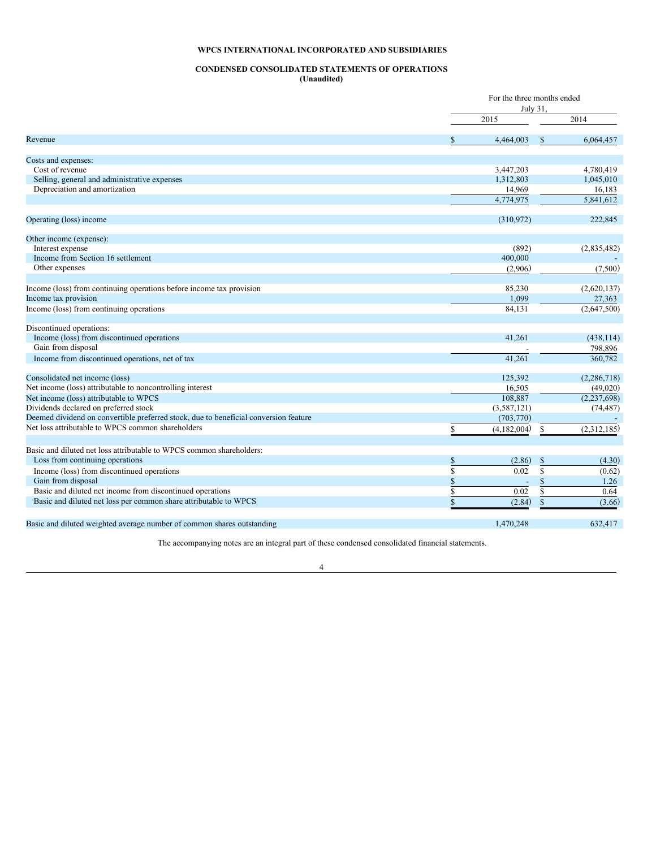# <span id="page-3-0"></span>**CONDENSED CONSOLIDATED STATEMENTS OF OPERATIONS**

**(Unaudited)**

|                                                                                      |                         | For the three months ended<br>July 31. |               |               |  |
|--------------------------------------------------------------------------------------|-------------------------|----------------------------------------|---------------|---------------|--|
|                                                                                      |                         | 2015                                   |               | 2014          |  |
| Revenue                                                                              | <b>S</b>                | 4,464,003                              | \$.           | 6,064,457     |  |
| Costs and expenses:                                                                  |                         |                                        |               |               |  |
| Cost of revenue                                                                      |                         | 3,447,203                              |               | 4.780.419     |  |
| Selling, general and administrative expenses                                         |                         | 1,312,803                              |               | 1,045,010     |  |
| Depreciation and amortization                                                        |                         | 14,969                                 |               | 16,183        |  |
|                                                                                      |                         | 4,774,975                              |               | 5,841,612     |  |
| Operating (loss) income                                                              |                         | (310,972)                              |               | 222,845       |  |
| Other income (expense):                                                              |                         |                                        |               |               |  |
| Interest expense                                                                     |                         | (892)                                  |               | (2,835,482)   |  |
| Income from Section 16 settlement                                                    |                         | 400,000                                |               |               |  |
| Other expenses                                                                       |                         | (2,906)                                |               | (7,500)       |  |
| Income (loss) from continuing operations before income tax provision                 |                         | 85,230                                 |               | (2,620,137)   |  |
| Income tax provision                                                                 |                         | 1,099                                  |               | 27,363        |  |
| Income (loss) from continuing operations                                             |                         | 84,131                                 |               | (2,647,500)   |  |
| Discontinued operations:                                                             |                         |                                        |               |               |  |
| Income (loss) from discontinued operations                                           |                         | 41,261                                 |               | (438, 114)    |  |
| Gain from disposal                                                                   |                         |                                        |               | 798,896       |  |
| Income from discontinued operations, net of tax                                      |                         | 41,261                                 |               | 360,782       |  |
| Consolidated net income (loss)                                                       |                         | 125,392                                |               | (2, 286, 718) |  |
| Net income (loss) attributable to noncontrolling interest                            |                         | 16,505                                 |               | (49,020)      |  |
| Net income (loss) attributable to WPCS                                               |                         | 108,887                                |               | (2, 237, 698) |  |
| Dividends declared on preferred stock                                                |                         | (3,587,121)                            |               | (74, 487)     |  |
| Deemed dividend on convertible preferred stock, due to beneficial conversion feature |                         | (703, 770)                             |               |               |  |
| Net loss attributable to WPCS common shareholders                                    | $\mathbb{S}$            | (4,182,004)                            | \$            | (2,312,185)   |  |
| Basic and diluted net loss attributable to WPCS common shareholders:                 |                         |                                        |               |               |  |
| Loss from continuing operations                                                      | $\overline{\mathbb{S}}$ | (2.86)                                 | \$            | (4.30)        |  |
| Income (loss) from discontinued operations                                           | $\overline{\mathbf{s}}$ | 0.02                                   | $\mathbf{s}$  | (0.62)        |  |
| Gain from disposal                                                                   | \$                      | $\blacksquare$                         | $\mathcal{S}$ | 1.26          |  |
| Basic and diluted net income from discontinued operations                            | \$                      | 0.02                                   | \$            | 0.64          |  |
| Basic and diluted net loss per common share attributable to WPCS                     | $\overline{\mathbb{S}}$ | (2.84)                                 | $\mathbf S$   | (3.66)        |  |
|                                                                                      |                         |                                        |               |               |  |
| Basic and diluted weighted average number of common shares outstanding               |                         | 1,470,248                              |               | 632,417       |  |

The accompanying notes are an integral part of these condensed consolidated financial statements.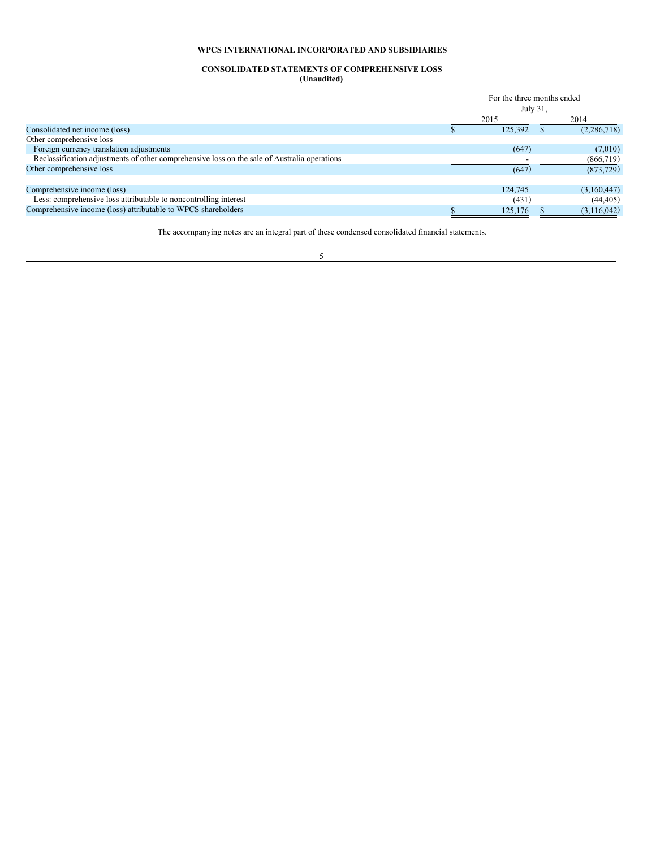# <span id="page-4-0"></span>**CONSOLIDATED STATEMENTS OF COMPREHENSIVE LOSS**

**(Unaudited)**

|                                                                                              | For the three months ended<br>July 31, |               |
|----------------------------------------------------------------------------------------------|----------------------------------------|---------------|
|                                                                                              | 2015                                   | 2014          |
| Consolidated net income (loss)                                                               | 125,392                                | (2, 286, 718) |
| Other comprehensive loss                                                                     |                                        |               |
| Foreign currency translation adjustments                                                     | (647)                                  | (7,010)       |
| Reclassification adjustments of other comprehensive loss on the sale of Australia operations |                                        | (866,719)     |
| Other comprehensive loss                                                                     | (647)                                  | (873, 729)    |
|                                                                                              |                                        |               |
| Comprehensive income (loss)                                                                  | 124,745                                | (3,160,447)   |
| Less: comprehensive loss attributable to noncontrolling interest                             | (431)                                  | (44, 405)     |
| Comprehensive income (loss) attributable to WPCS shareholders                                | 125,176                                | (3,116,042)   |

The accompanying notes are an integral part of these condensed consolidated financial statements.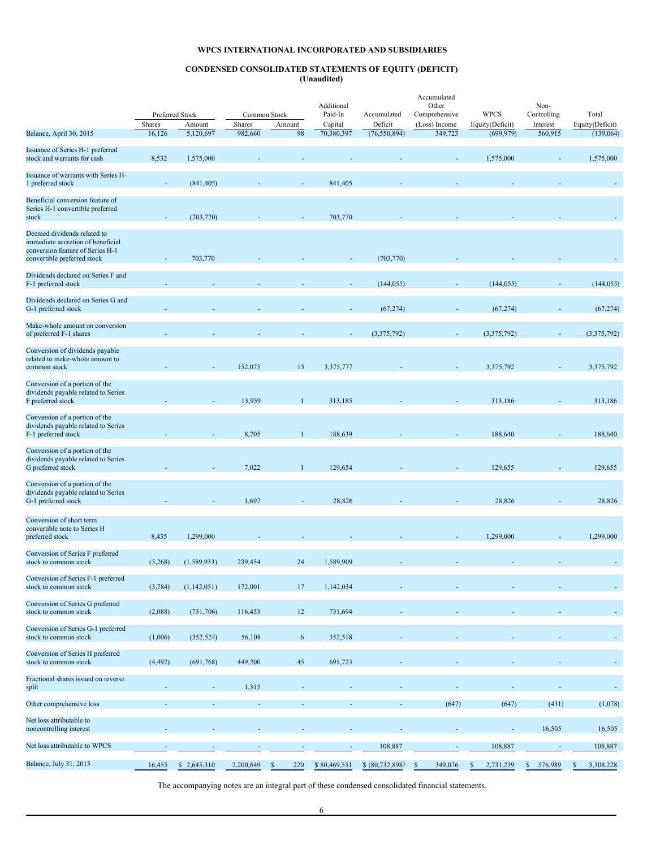# <span id="page-5-0"></span>**CONDENSED CONSOLIDATED STATEMENTS OF EQUITY (DEFICIT) (Unaudited)**

|                                                                                                                                     |                  | Preferred Stock     | Common Stock      |                          | Additional<br>Paid-In | Accumulated               | Accumulated<br>Other<br>Comprehensive | <b>WPCS</b>                   | Non-<br>Controlling | Total                        |
|-------------------------------------------------------------------------------------------------------------------------------------|------------------|---------------------|-------------------|--------------------------|-----------------------|---------------------------|---------------------------------------|-------------------------------|---------------------|------------------------------|
| Balance, April 30, 2015                                                                                                             | Shares<br>16,126 | Amount<br>5,120,697 | Shares<br>982,660 | Amount<br>98             | Capital<br>70,380,397 | Deficit<br>(76, 550, 894) | (Loss) Income<br>349,723              | Equity(Deficit)<br>(699, 979) | Interest<br>560,915 | Equity(Deficit)<br>(139,064) |
| Issuance of Series H-1 preferred<br>stock and warrants for cash                                                                     | 8,532            | 1,575,000           |                   |                          |                       |                           |                                       | 1,575,000                     |                     | 1,575,000                    |
| Issuance of warrants with Series H-<br>1 preferred stock                                                                            |                  | (841, 405)          |                   |                          | 841,405               |                           |                                       |                               |                     |                              |
| Beneficial conversion feature of<br>Series H-1 convertible preferred<br>stock                                                       |                  | (703, 770)          |                   |                          | 703,770               |                           |                                       |                               |                     |                              |
| Deemed dividends related to<br>immediate accretion of beneficial<br>conversion feature of Series H-1<br>convertible preferred stock |                  | 703,770             |                   |                          |                       | (703, 770)                |                                       |                               |                     |                              |
| Dividends declared on Series F and<br>F-1 preferred stock                                                                           |                  |                     |                   |                          |                       | (144, 055)                |                                       | (144, 055)                    |                     | (144, 055)                   |
| Dividends declared on Series G and<br>G-1 preferred stock                                                                           |                  |                     |                   |                          |                       | (67, 274)                 |                                       | (67, 274)                     |                     | (67, 274)                    |
| Make-whole amount on conversion<br>of preferred F-1 shares                                                                          |                  |                     |                   |                          |                       | (3,375,792)               |                                       | (3,375,792)                   |                     | (3,375,792)                  |
| Conversion of dividends payable<br>related to make-whole amount to<br>common stock                                                  |                  |                     | 152,075           | 15                       | 3,375,777             |                           |                                       | 3,375,792                     |                     | 3,375,792                    |
| Conversion of a portion of the<br>dividends payable related to Series<br>F preferred stock                                          |                  |                     | 13,959            | $\overline{1}$           | 313,185               |                           |                                       | 313,186                       |                     | 313,186                      |
| Conversion of a portion of the<br>dividends payable related to Series<br>F-1 preferred stock                                        |                  |                     | 8,705             | $\mathbf{1}$             | 188,639               |                           |                                       | 188,640                       |                     | 188,640                      |
| Conversion of a portion of the<br>dividends payable related to Series<br>G preferred stock                                          |                  |                     | 7,022             | 1                        | 129,654               |                           |                                       | 129,655                       |                     | 129,655                      |
| Conversion of a portion of the<br>dividends payable related to Series<br>G-1 preferred stock                                        |                  |                     | 1,697             |                          | 28,826                |                           |                                       | 28,826                        |                     | 28,826                       |
| Conversion of short term<br>convertible note to Series H<br>preferred stock                                                         | 8,435            | 1,299,000           |                   |                          |                       |                           |                                       | 1,299,000                     |                     | 1,299,000                    |
| Conversion of Series F preferred<br>stock to common stock                                                                           | (5,268)          | (1,589,933)         | 239,454           | 24                       | 1,589,909             |                           |                                       |                               |                     |                              |
| Conversion of Series F-1 preferred<br>stock to common stock                                                                         | (3,784)          | (1,142,051)         | 172,001           | 17                       | 1,142,034             |                           |                                       |                               |                     |                              |
| Conversion of Series G preferred<br>stock to common stock                                                                           | (2,088)          | (731,706)           | 116,453           | 12                       | 731,694               |                           |                                       |                               |                     |                              |
| Conversion of Series G-1 preferred<br>stock to common stock                                                                         | (1,006)          | (352, 524)          | 56,108            | 6                        | 352,518               |                           |                                       |                               |                     |                              |
| Conversion of Series H preferred<br>stock to common stock                                                                           | (4, 492)         | (691,768)           | 449,200           | 45                       | 691,723               |                           |                                       |                               |                     |                              |
| Fractional shares issued on reverse<br>split                                                                                        |                  |                     | 1,315             |                          |                       |                           |                                       |                               |                     |                              |
| Other comprehensive loss                                                                                                            |                  |                     |                   | $\overline{\phantom{a}}$ |                       | $\overline{\phantom{a}}$  | (647)                                 | (647)                         | (431)               | (1,078)                      |
| Net loss attributable to<br>noncontrolling interest                                                                                 |                  |                     |                   |                          |                       |                           |                                       |                               | 16,505              | 16,505                       |
| Net loss attributable to WPCS                                                                                                       |                  |                     |                   |                          |                       | 108,887                   |                                       | 108,887                       |                     | 108,887                      |
| Balance, July 31, 2015                                                                                                              | 16,455           | \$2,645,310         | 2,200,649         | $\mathbb{S}$<br>220      | \$80,469,531          | \$ (80, 732, 898)         | 349,076<br>\$                         | 2,731,239<br>\$               | \$ 576,989          | 3,308,228<br>\$              |

The accompanying notes are an integral part of these condensed consolidated financial statements.

<u> 1989 - Johann Stoff, deutscher Stoffen und der Stoffen und der Stoffen und der Stoffen und der Stoffen und der</u>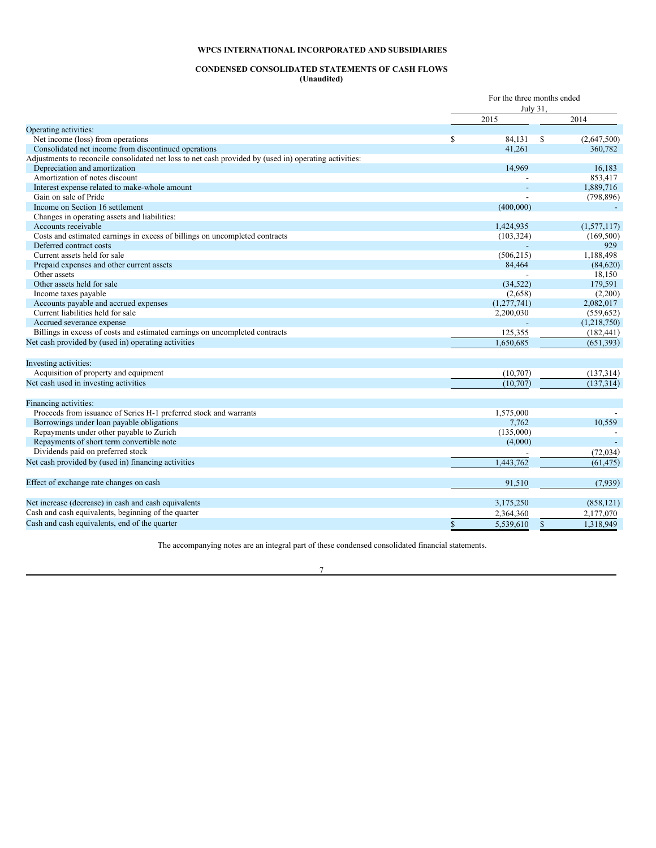# <span id="page-6-0"></span>**CONDENSED CONSOLIDATED STATEMENTS OF CASH FLOWS**

**(Unaudited)**

|                                                                                                        | For the three months ended<br>July 31, |             |               |             |
|--------------------------------------------------------------------------------------------------------|----------------------------------------|-------------|---------------|-------------|
|                                                                                                        |                                        |             |               |             |
|                                                                                                        |                                        | 2015        |               | 2014        |
| Operating activities:                                                                                  |                                        |             |               |             |
| Net income (loss) from operations                                                                      | $\mathbb{S}$                           | 84,131      | <sup>\$</sup> | (2,647,500) |
| Consolidated net income from discontinued operations                                                   |                                        | 41,261      |               | 360,782     |
| Adjustments to reconcile consolidated net loss to net cash provided by (used in) operating activities: |                                        |             |               |             |
| Depreciation and amortization                                                                          |                                        | 14,969      |               | 16,183      |
| Amortization of notes discount                                                                         |                                        |             |               | 853,417     |
| Interest expense related to make-whole amount                                                          |                                        |             |               | 1,889,716   |
| Gain on sale of Pride                                                                                  |                                        |             |               | (798, 896)  |
| Income on Section 16 settlement                                                                        |                                        | (400,000)   |               |             |
| Changes in operating assets and liabilities:                                                           |                                        |             |               |             |
| Accounts receivable                                                                                    |                                        | 1,424,935   |               | (1,577,117) |
| Costs and estimated earnings in excess of billings on uncompleted contracts                            |                                        | (103, 324)  |               | (169, 500)  |
| Deferred contract costs                                                                                |                                        |             |               | 929         |
| Current assets held for sale                                                                           |                                        | (506, 215)  |               | 1,188,498   |
| Prepaid expenses and other current assets                                                              |                                        | 84,464      |               | (84,620)    |
| Other assets                                                                                           |                                        |             |               | 18,150      |
| Other assets held for sale                                                                             |                                        | (34, 522)   |               | 179,591     |
| Income taxes payable                                                                                   |                                        | (2.658)     |               | (2,200)     |
| Accounts payable and accrued expenses                                                                  |                                        | (1,277,741) |               | 2,082,017   |
| Current liabilities held for sale                                                                      |                                        | 2,200,030   |               | (559, 652)  |
| Accrued severance expense                                                                              |                                        |             |               | (1,218,750) |
| Billings in excess of costs and estimated earnings on uncompleted contracts                            |                                        | 125,355     |               | (182, 441)  |
| Net cash provided by (used in) operating activities                                                    |                                        | 1.650.685   |               | (651, 393)  |
|                                                                                                        |                                        |             |               |             |
| Investing activities:                                                                                  |                                        |             |               |             |
| Acquisition of property and equipment                                                                  |                                        | (10,707)    |               | (137, 314)  |
| Net cash used in investing activities                                                                  |                                        | (10, 707)   |               | (137, 314)  |
|                                                                                                        |                                        |             |               |             |
| Financing activities:                                                                                  |                                        |             |               |             |
| Proceeds from issuance of Series H-1 preferred stock and warrants                                      |                                        | 1,575,000   |               |             |
| Borrowings under loan payable obligations                                                              |                                        | 7,762       |               | 10,559      |
| Repayments under other payable to Zurich                                                               |                                        | (135,000)   |               |             |
| Repayments of short term convertible note                                                              |                                        | (4,000)     |               |             |
| Dividends paid on preferred stock                                                                      |                                        |             |               | (72, 034)   |
| Net cash provided by (used in) financing activities                                                    |                                        | 1,443,762   |               | (61, 475)   |
|                                                                                                        |                                        |             |               |             |
| Effect of exchange rate changes on cash                                                                |                                        | 91,510      |               | (7,939)     |
|                                                                                                        |                                        |             |               |             |
| Net increase (decrease) in cash and cash equivalents                                                   |                                        | 3,175,250   |               | (858, 121)  |
| Cash and cash equivalents, beginning of the quarter                                                    |                                        | 2,364,360   |               | 2,177,070   |
| Cash and cash equivalents, end of the quarter                                                          | $\mathbb{S}$                           | 5,539,610   | $\mathbb{S}$  | 1,318,949   |
|                                                                                                        |                                        |             |               |             |

The accompanying notes are an integral part of these condensed consolidated financial statements.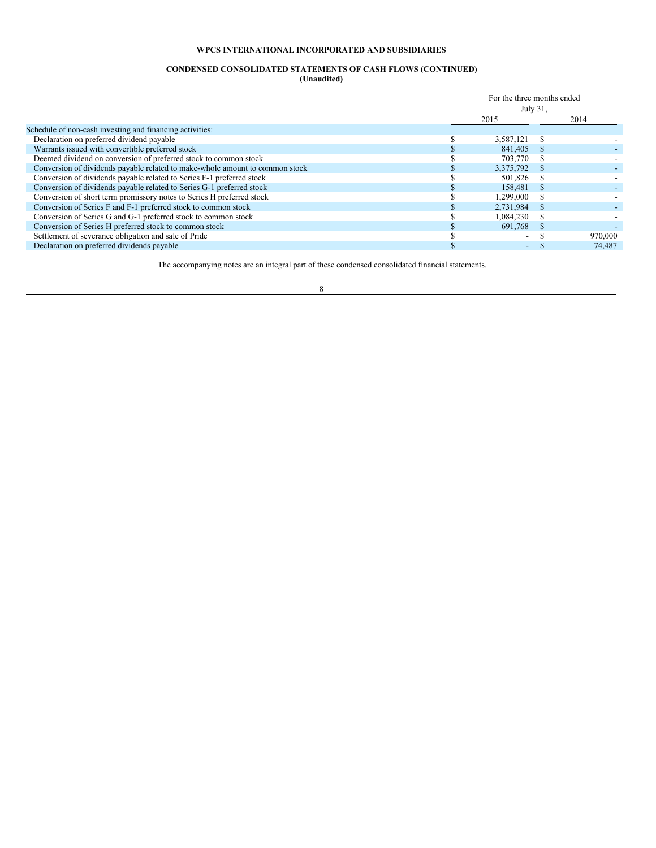# **CONDENSED CONSOLIDATED STATEMENTS OF CASH FLOWS (CONTINUED)**

# **(Unaudited)**

|                                                                              | For the three months ended<br>July 31, |  |         |
|------------------------------------------------------------------------------|----------------------------------------|--|---------|
|                                                                              | 2015                                   |  | 2014    |
| Schedule of non-cash investing and financing activities:                     |                                        |  |         |
| Declaration on preferred dividend payable                                    | 3,587,121                              |  |         |
| Warrants issued with convertible preferred stock                             | 841,405 \$                             |  |         |
| Deemed dividend on conversion of preferred stock to common stock             | 703,770                                |  |         |
| Conversion of dividends payable related to make-whole amount to common stock | 3,375,792 \$                           |  |         |
| Conversion of dividends payable related to Series F-1 preferred stock        | 501,826                                |  |         |
| Conversion of dividends payable related to Series G-1 preferred stock        | 158,481                                |  |         |
| Conversion of short term promissory notes to Series H preferred stock        | 1,299,000                              |  |         |
| Conversion of Series F and F-1 preferred stock to common stock               | 2.731.984                              |  |         |
| Conversion of Series G and G-1 preferred stock to common stock               | 1,084,230                              |  |         |
| Conversion of Series H preferred stock to common stock                       | 691,768                                |  |         |
| Settlement of severance obligation and sale of Pride                         |                                        |  | 970,000 |
| Declaration on preferred dividends payable                                   |                                        |  | 74,487  |

The accompanying notes are an integral part of these condensed consolidated financial statements.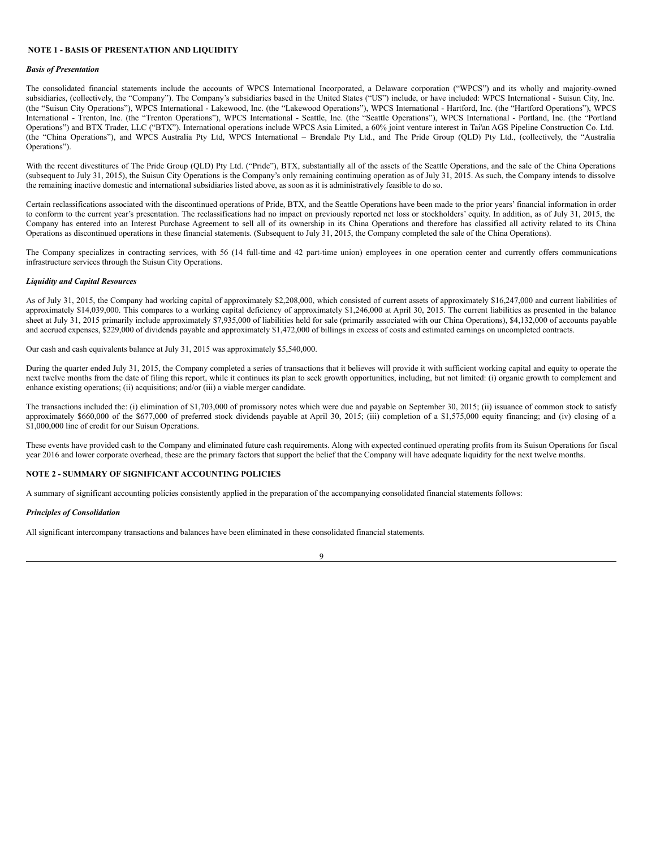#### <span id="page-8-0"></span>**NOTE 1 - BASIS OF PRESENTATION AND LIQUIDITY**

#### *Basis of Presentation*

The consolidated financial statements include the accounts of WPCS International Incorporated, a Delaware corporation ("WPCS") and its wholly and majority-owned subsidiaries, (collectively, the "Company"). The Company's subsidiaries based in the United States ("US") include, or have included: WPCS International - Suisun City, Inc. (the "Suisun City Operations"), WPCS International - Lakewood, Inc. (the "Lakewood Operations"), WPCS International - Hartford, Inc. (the "Hartford Operations"), WPCS International - Trenton, Inc. (the "Trenton Operations"), WPCS International - Seattle, Inc. (the "Seattle Operations"), WPCS International - Portland, Inc. (the "Portland Operations") and BTX Trader, LLC ("BTX"). International operations include WPCS Asia Limited, a 60% joint venture interest in Tai'an AGS Pipeline Construction Co. Ltd. (the "China Operations"), and WPCS Australia Pty Ltd, WPCS International – Brendale Pty Ltd., and The Pride Group (QLD) Pty Ltd., (collectively, the "Australia Operations").

With the recent divestitures of The Pride Group (QLD) Pty Ltd. ("Pride"), BTX, substantially all of the assets of the Seattle Operations, and the sale of the China Operations (subsequent to July 31, 2015), the Suisun City Operations is the Company's only remaining continuing operation as of July 31, 2015. As such, the Company intends to dissolve the remaining inactive domestic and international subsidiaries listed above, as soon as it is administratively feasible to do so.

Certain reclassifications associated with the discontinued operations of Pride, BTX, and the Seattle Operations have been made to the prior years' financial information in order to conform to the current year's presentation. The reclassifications had no impact on previously reported net loss or stockholders' equity. In addition, as of July 31, 2015, the Company has entered into an Interest Purchase Agreement to sell all of its ownership in its China Operations and therefore has classified all activity related to its China Operations as discontinued operations in these financial statements. (Subsequent to July 31, 2015, the Company completed the sale of the China Operations).

The Company specializes in contracting services, with 56 (14 full-time and 42 part-time union) employees in one operation center and currently offers communications infrastructure services through the Suisun City Operations.

### *Liquidity and Capital Resources*

As of July 31, 2015, the Company had working capital of approximately \$2,208,000, which consisted of current assets of approximately \$16,247,000 and current liabilities of approximately \$14,039,000. This compares to a working capital deficiency of approximately \$1,246,000 at April 30, 2015. The current liabilities as presented in the balance sheet at July 31, 2015 primarily include approximately \$7,935,000 of liabilities held for sale (primarily associated with our China Operations), \$4,132,000 of accounts payable and accrued expenses, \$229,000 of dividends payable and approximately \$1,472,000 of billings in excess of costs and estimated earnings on uncompleted contracts.

Our cash and cash equivalents balance at July 31, 2015 was approximately \$5,540,000.

During the quarter ended July 31, 2015, the Company completed a series of transactions that it believes will provide it with sufficient working capital and equity to operate the next twelve months from the date of filing this report, while it continues its plan to seek growth opportunities, including, but not limited: (i) organic growth to complement and enhance existing operations; (ii) acquisitions; and/or (iii) a viable merger candidate.

The transactions included the: (i) elimination of \$1,703,000 of promissory notes which were due and payable on September 30, 2015; (ii) issuance of common stock to satisfy approximately \$660,000 of the \$677,000 of preferred stock dividends payable at April 30, 2015; (iii) completion of a \$1,575,000 equity financing; and (iv) closing of a \$1,000,000 line of credit for our Suisun Operations.

These events have provided cash to the Company and eliminated future cash requirements. Along with expected continued operating profits from its Suisun Operations for fiscal year 2016 and lower corporate overhead, these are the primary factors that support the belief that the Company will have adequate liquidity for the next twelve months.

# **NOTE 2 - SUMMARY OF SIGNIFICANT ACCOUNTING POLICIES**

A summary of significant accounting policies consistently applied in the preparation of the accompanying consolidated financial statements follows:

#### *Principles of Consolidation*

All significant intercompany transactions and balances have been eliminated in these consolidated financial statements.

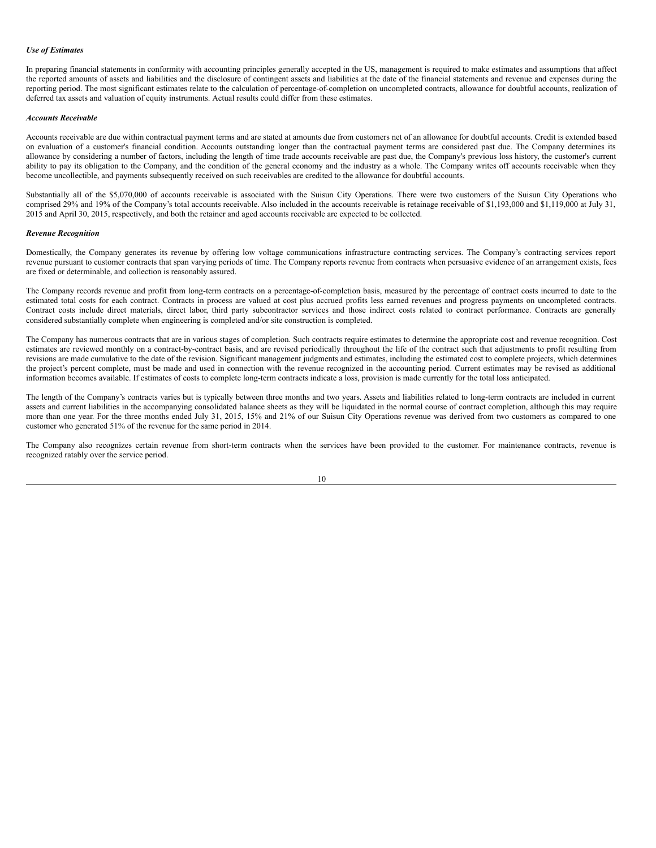#### *Use of Estimates*

In preparing financial statements in conformity with accounting principles generally accepted in the US, management is required to make estimates and assumptions that affect the reported amounts of assets and liabilities and the disclosure of contingent assets and liabilities at the date of the financial statements and revenue and expenses during the reporting period. The most significant estimates relate to the calculation of percentage-of-completion on uncompleted contracts, allowance for doubtful accounts, realization of deferred tax assets and valuation of equity instruments. Actual results could differ from these estimates.

#### *Accounts Receivable*

Accounts receivable are due within contractual payment terms and are stated at amounts due from customers net of an allowance for doubtful accounts. Credit is extended based on evaluation of a customer's financial condition. Accounts outstanding longer than the contractual payment terms are considered past due. The Company determines its allowance by considering a number of factors, including the length of time trade accounts receivable are past due, the Company's previous loss history, the customer's current ability to pay its obligation to the Company, and the condition of the general economy and the industry as a whole. The Company writes off accounts receivable when they become uncollectible, and payments subsequently received on such receivables are credited to the allowance for doubtful accounts.

Substantially all of the \$5,070,000 of accounts receivable is associated with the Suisun City Operations. There were two customers of the Suisun City Operations who comprised 29% and 19% of the Company's total accounts receivable. Also included in the accounts receivable is retainage receivable of \$1,193,000 and \$1,119,000 at July 31, 2015 and April 30, 2015, respectively, and both the retainer and aged accounts receivable are expected to be collected.

#### *Revenue Recognition*

Domestically, the Company generates its revenue by offering low voltage communications infrastructure contracting services. The Company's contracting services report revenue pursuant to customer contracts that span varying periods of time. The Company reports revenue from contracts when persuasive evidence of an arrangement exists, fees are fixed or determinable, and collection is reasonably assured.

The Company records revenue and profit from long-term contracts on a percentage-of-completion basis, measured by the percentage of contract costs incurred to date to the estimated total costs for each contract. Contracts in process are valued at cost plus accrued profits less earned revenues and progress payments on uncompleted contracts. Contract costs include direct materials, direct labor, third party subcontractor services and those indirect costs related to contract performance. Contracts are generally considered substantially complete when engineering is completed and/or site construction is completed.

The Company has numerous contracts that are in various stages of completion. Such contracts require estimates to determine the appropriate cost and revenue recognition. Cost estimates are reviewed monthly on a contract-by-contract basis, and are revised periodically throughout the life of the contract such that adjustments to profit resulting from revisions are made cumulative to the date of the revision. Significant management judgments and estimates, including the estimated cost to complete projects, which determines the project's percent complete, must be made and used in connection with the revenue recognized in the accounting period. Current estimates may be revised as additional information becomes available. If estimates of costs to complete long-term contracts indicate a loss, provision is made currently for the total loss anticipated.

The length of the Company's contracts varies but is typically between three months and two years. Assets and liabilities related to long-term contracts are included in current assets and current liabilities in the accompanying consolidated balance sheets as they will be liquidated in the normal course of contract completion, although this may require more than one year. For the three months ended July 31, 2015, 15% and 21% of our Suisun City Operations revenue was derived from two customers as compared to one customer who generated 51% of the revenue for the same period in 2014.

The Company also recognizes certain revenue from short-term contracts when the services have been provided to the customer. For maintenance contracts, revenue is recognized ratably over the service period.

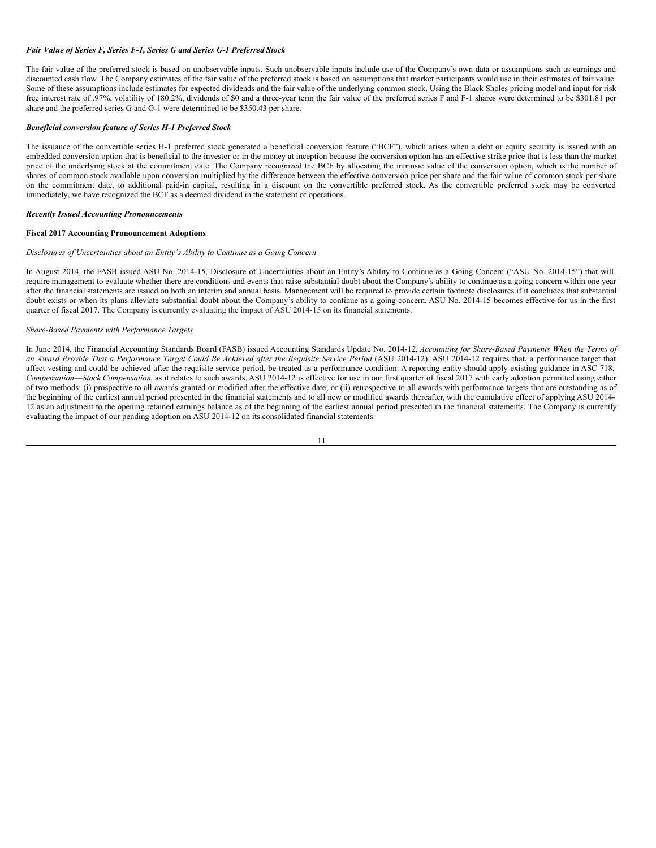## *Fair Value of Series F, Series F-1, Series G and Series G-1 Preferred Stock*

The fair value of the preferred stock is based on unobservable inputs. Such unobservable inputs include use of the Company's own data or assumptions such as earnings and discounted cash flow. The Company estimates of the fair value of the preferred stock is based on assumptions that market participants would use in their estimates of fair value. Some of these assumptions include estimates for expected dividends and the fair value of the underlying common stock. Using the Black Sholes pricing model and input for risk free interest rate of .97%, volatility of 180.2%, dividends of \$0 and a three-year term the fair value of the preferred series F and F-1 shares were determined to be \$301.81 per share and the preferred series G and G-1 were determined to be \$350.43 per share.

### *Beneficial conversion feature of Series H-1 Preferred Stock*

The issuance of the convertible series H-1 preferred stock generated a beneficial conversion feature ("BCF"), which arises when a debt or equity security is issued with an embedded conversion option that is beneficial to the investor or in the money at inception because the conversion option has an effective strike price that is less than the market price of the underlying stock at the commitment date. The Company recognized the BCF by allocating the intrinsic value of the conversion option, which is the number of shares of common stock available upon conversion multiplied by the difference between the effective conversion price per share and the fair value of common stock per share on the commitment date, to additional paid-in capital, resulting in a discount on the convertible preferred stock. As the convertible preferred stock may be converted immediately, we have recognized the BCF as a deemed dividend in the statement of operations.

### *Recently Issued Accounting Pronouncements*

### **Fiscal 2017 Accounting Pronouncement Adoptions**

## *Disclosures of Uncertainties about an Entity's Ability to Continue as a Going Concern*

In August 2014, the FASB issued ASU No. 2014-15, Disclosure of Uncertainties about an Entity's Ability to Continue as a Going Concern ("ASU No. 2014-15") that will require management to evaluate whether there are conditions and events that raise substantial doubt about the Company's ability to continue as a going concern within one year after the financial statements are issued on both an interim and annual basis. Management will be required to provide certain footnote disclosures if it concludes that substantial doubt exists or when its plans alleviate substantial doubt about the Company's ability to continue as a going concern. ASU No. 2014-15 becomes effective for us in the first quarter of fiscal 2017. The Company is currently evaluating the impact of ASU 2014-15 on its financial statements.

#### *Share-Based Payments with Performance Targets*

In June 2014, the Financial Accounting Standards Board (FASB) issued Accounting Standards Update No. 2014-12, *Accounting for Share-Based Payments When the Terms of* an Award Provide That a Performance Target Could Be Achieved after the Requisite Service Period (ASU 2014-12). ASU 2014-12 requires that, a performance target that affect vesting and could be achieved after the requisite service period, be treated as a performance condition. A reporting entity should apply existing guidance in ASC 718, *Compensation*—*Stock Compensation*, as it relates to such awards. ASU 2014-12 is effective for use in our first quarter of fiscal 2017 with early adoption permitted using either of two methods: (i) prospective to all awards granted or modified after the effective date; or (ii) retrospective to all awards with performance targets that are outstanding as of the beginning of the earliest annual period presented in the financial statements and to all new or modified awards thereafter, with the cumulative effect of applying ASU 2014- 12 as an adjustment to the opening retained earnings balance as of the beginning of the earliest annual period presented in the financial statements. The Company is currently evaluating the impact of our pending adoption on ASU 2014-12 on its consolidated financial statements.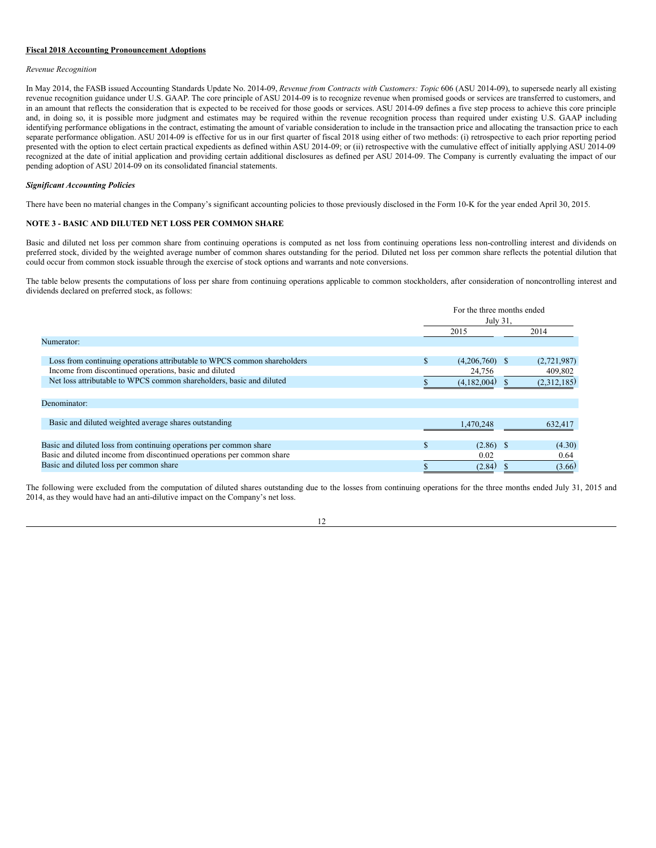#### **Fiscal 2018 Accounting Pronouncement Adoptions**

#### *Revenue Recognition*

In May 2014, the FASB issued Accounting Standards Update No. 2014-09, *Revenue from Contracts with Customers: Topic* 606 (ASU 2014-09), to supersede nearly all existing revenue recognition guidance under U.S. GAAP. The core principle of ASU 2014-09 is to recognize revenue when promised goods or services are transferred to customers, and in an amount that reflects the consideration that is expected to be received for those goods or services. ASU 2014-09 defines a five step process to achieve this core principle and, in doing so, it is possible more judgment and estimates may be required within the revenue recognition process than required under existing U.S. GAAP including identifying performance obligations in the contract, estimating the amount of variable consideration to include in the transaction price and allocating the transaction price to each separate performance obligation. ASU 2014-09 is effective for us in our first quarter of fiscal 2018 using either of two methods: (i) retrospective to each prior reporting period presented with the option to elect certain practical expedients as defined within ASU 2014-09; or (ii) retrospective with the cumulative effect of initially applying ASU 2014-09 recognized at the date of initial application and providing certain additional disclosures as defined per ASU 2014-09. The Company is currently evaluating the impact of our pending adoption of ASU 2014-09 on its consolidated financial statements.

# *Significant Accounting Policies*

There have been no material changes in the Company's significant accounting policies to those previously disclosed in the Form 10-K for the year ended April 30, 2015.

# **NOTE 3 - BASIC AND DILUTED NET LOSS PER COMMON SHARE**

Basic and diluted net loss per common share from continuing operations is computed as net loss from continuing operations less non-controlling interest and dividends on preferred stock, divided by the weighted average number of common shares outstanding for the period. Diluted net loss per common share reflects the potential dilution that could occur from common stock issuable through the exercise of stock options and warrants and note conversions.

The table below presents the computations of loss per share from continuing operations applicable to common stockholders, after consideration of noncontrolling interest and dividends declared on preferred stock, as follows:

|                                                                          |      | For the three months ended<br>July 31, |             |  |  |
|--------------------------------------------------------------------------|------|----------------------------------------|-------------|--|--|
|                                                                          | 2015 |                                        | 2014        |  |  |
| Numerator:                                                               |      |                                        |             |  |  |
|                                                                          |      |                                        |             |  |  |
| Loss from continuing operations attributable to WPCS common shareholders | S    | $(4,206,760)$ \$                       | (2,721,987) |  |  |
| Income from discontinued operations, basic and diluted                   |      | 24,756                                 | 409,802     |  |  |
| Net loss attributable to WPCS common shareholders, basic and diluted     |      | (4,182,004)                            | (2,312,185) |  |  |
|                                                                          |      |                                        |             |  |  |
| Denominator:                                                             |      |                                        |             |  |  |
|                                                                          |      |                                        |             |  |  |
| Basic and diluted weighted average shares outstanding                    |      | 1,470,248                              | 632,417     |  |  |
|                                                                          |      |                                        |             |  |  |
| Basic and diluted loss from continuing operations per common share       | S    | $(2.86)$ \$                            | (4.30)      |  |  |
| Basic and diluted income from discontinued operations per common share   |      | 0.02                                   | 0.64        |  |  |
| Basic and diluted loss per common share                                  |      | (2.84)                                 | (3.66)      |  |  |
|                                                                          |      |                                        |             |  |  |

The following were excluded from the computation of diluted shares outstanding due to the losses from continuing operations for the three months ended July 31, 2015 and 2014, as they would have had an anti-dilutive impact on the Company's net loss.

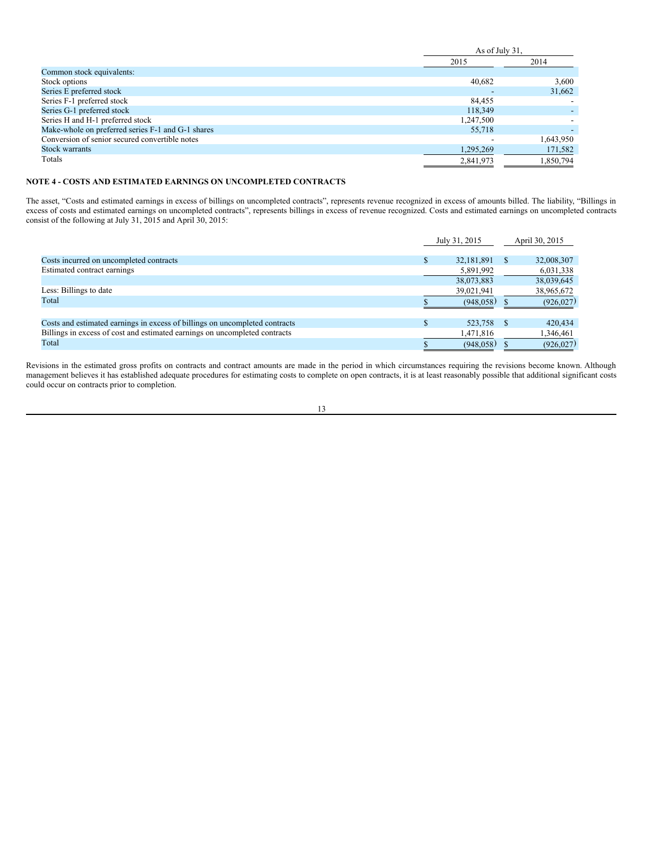|                                                   | As of July 31. |           |
|---------------------------------------------------|----------------|-----------|
|                                                   | 2015           | 2014      |
| Common stock equivalents:                         |                |           |
| Stock options                                     | 40,682         | 3,600     |
| Series E preferred stock                          |                | 31,662    |
| Series F-1 preferred stock                        | 84,455         |           |
| Series G-1 preferred stock                        | 118,349        |           |
| Series H and H-1 preferred stock                  | 1,247,500      |           |
| Make-whole on preferred series F-1 and G-1 shares | 55,718         |           |
| Conversion of senior secured convertible notes    |                | 1,643,950 |
| <b>Stock warrants</b>                             | 1,295,269      | 171,582   |
| Totals                                            | 2,841,973      | 1,850,794 |

# **NOTE 4 - COSTS AND ESTIMATED EARNINGS ON UNCOMPLETED CONTRACTS**

The asset, "Costs and estimated earnings in excess of billings on uncompleted contracts", represents revenue recognized in excess of amounts billed. The liability, "Billings in excess of costs and estimated earnings on uncompleted contracts", represents billings in excess of revenue recognized. Costs and estimated earnings on uncompleted contracts consist of the following at July 31, 2015 and April 30, 2015:

|                                                                             | July 31, 2015  |      | April 30, 2015 |
|-----------------------------------------------------------------------------|----------------|------|----------------|
| Costs incurred on uncompleted contracts                                     | 32,181,891     | IS.  | 32,008,307     |
| Estimated contract earnings                                                 | 5,891,992      |      | 6,031,338      |
|                                                                             | 38,073,883     |      | 38,039,645     |
| Less: Billings to date                                                      | 39,021,941     |      | 38,965,672     |
| Total                                                                       | (948, 058)     |      | (926, 027)     |
|                                                                             |                |      |                |
| Costs and estimated earnings in excess of billings on uncompleted contracts | 523,758        | - \$ | 420,434        |
| Billings in excess of cost and estimated earnings on uncompleted contracts  | 1.471.816      |      | 1,346,461      |
| Total                                                                       | $(948.058)$ \$ |      | (926.027)      |

Revisions in the estimated gross profits on contracts and contract amounts are made in the period in which circumstances requiring the revisions become known. Although management believes it has established adequate procedures for estimating costs to complete on open contracts, it is at least reasonably possible that additional significant costs could occur on contracts prior to completion.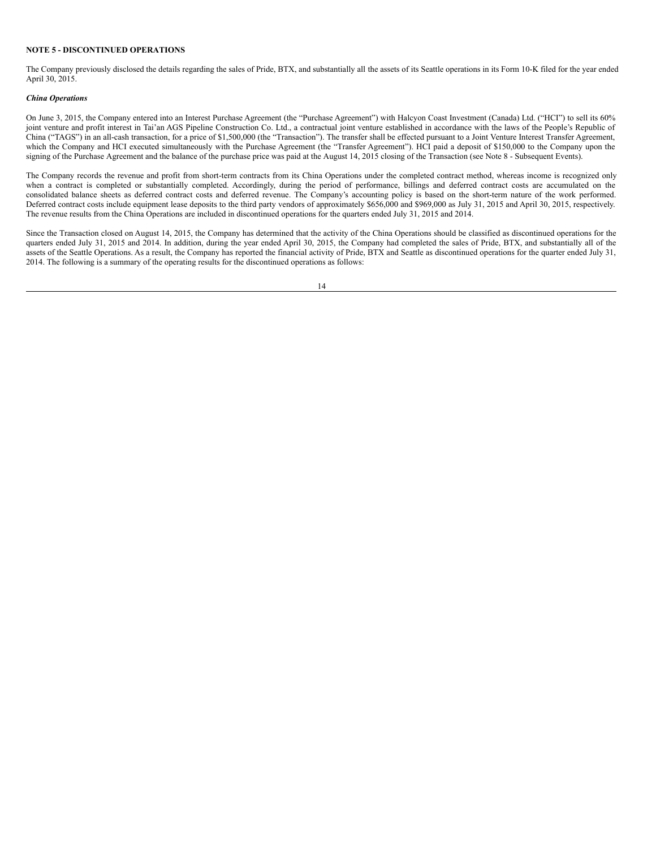### **NOTE 5 - DISCONTINUED OPERATIONS**

The Company previously disclosed the details regarding the sales of Pride, BTX, and substantially all the assets of its Seattle operations in its Form 10-K filed for the year ended April 30, 2015.

## *China Operations*

On June 3, 2015, the Company entered into an Interest Purchase Agreement (the "Purchase Agreement") with Halcyon Coast Investment (Canada) Ltd. ("HCI") to sell its 60% joint venture and profit interest in Tai'an AGS Pipeline Construction Co. Ltd., a contractual joint venture established in accordance with the laws of the People's Republic of China ("TAGS") in an all-cash transaction, for a price of \$1,500,000 (the "Transaction"). The transfer shall be effected pursuant to a Joint Venture Interest Transfer Agreement, which the Company and HCI executed simultaneously with the Purchase Agreement (the "Transfer Agreement"). HCI paid a deposit of \$150,000 to the Company upon the signing of the Purchase Agreement and the balance of the purchase price was paid at the August 14, 2015 closing of the Transaction (see Note 8 - Subsequent Events).

The Company records the revenue and profit from short-term contracts from its China Operations under the completed contract method, whereas income is recognized only when a contract is completed or substantially completed. Accordingly, during the period of performance, billings and deferred contract costs are accumulated on the consolidated balance sheets as deferred contract costs and deferred revenue. The Company's accounting policy is based on the short-term nature of the work performed. Deferred contract costs include equipment lease deposits to the third party vendors of approximately \$656,000 and \$969,000 as July 31, 2015 and April 30, 2015, respectively. The revenue results from the China Operations are included in discontinued operations for the quarters ended July 31, 2015 and 2014.

Since the Transaction closed on August 14, 2015, the Company has determined that the activity of the China Operations should be classified as discontinued operations for the quarters ended July 31, 2015 and 2014. In addition, during the year ended April 30, 2015, the Company had completed the sales of Pride, BTX, and substantially all of the assets of the Seattle Operations. As a result, the Company has reported the financial activity of Pride, BTX and Seattle as discontinued operations for the quarter ended July 31, 2014. The following is a summary of the operating results for the discontinued operations as follows: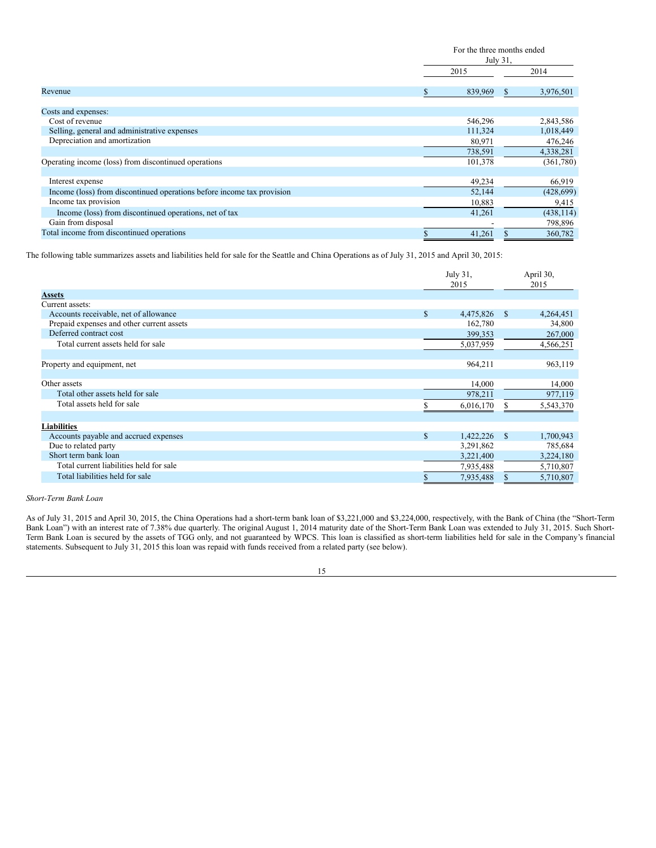|                                                                        |         | For the three months ended<br>July 31, |
|------------------------------------------------------------------------|---------|----------------------------------------|
|                                                                        | 2015    | 2014                                   |
| Revenue                                                                | 839,969 | 3,976,501<br><sup>8</sup>              |
| Costs and expenses:                                                    |         |                                        |
| Cost of revenue                                                        | 546,296 | 2,843,586                              |
| Selling, general and administrative expenses                           | 111,324 | 1,018,449                              |
| Depreciation and amortization                                          | 80,971  | 476,246                                |
|                                                                        | 738,591 | 4,338,281                              |
| Operating income (loss) from discontinued operations                   | 101,378 | (361,780)                              |
|                                                                        |         |                                        |
| Interest expense                                                       | 49,234  | 66,919                                 |
| Income (loss) from discontinued operations before income tax provision | 52,144  | (428, 699)                             |
| Income tax provision                                                   | 10,883  | 9,415                                  |
| Income (loss) from discontinued operations, net of tax                 | 41,261  | (438, 114)                             |
| Gain from disposal                                                     |         | 798,896                                |
| Total income from discontinued operations                              | 41,261  | 360,782                                |

The following table summarizes assets and liabilities held for sale for the Seattle and China Operations as of July 31, 2015 and April 30, 2015:

|                                           |          | July 31,  |      | April 30, |
|-------------------------------------------|----------|-----------|------|-----------|
|                                           |          | 2015      |      | 2015      |
| <b>Assets</b>                             |          |           |      |           |
| Current assets:                           |          |           |      |           |
| Accounts receivable, net of allowance     | \$       | 4,475,826 | - \$ | 4,264,451 |
| Prepaid expenses and other current assets |          | 162,780   |      | 34,800    |
| Deferred contract cost                    |          | 399,353   |      | 267,000   |
| Total current assets held for sale        |          | 5,037,959 |      | 4,566,251 |
|                                           |          |           |      |           |
| Property and equipment, net               |          | 964,211   |      | 963,119   |
|                                           |          |           |      |           |
| Other assets                              |          | 14,000    |      | 14,000    |
| Total other assets held for sale          |          | 978,211   |      | 977,119   |
| Total assets held for sale                |          | 6,016,170 |      | 5,543,370 |
|                                           |          |           |      |           |
| Liabilities                               |          |           |      |           |
| Accounts payable and accrued expenses     | <b>S</b> | 1,422,226 | - \$ | 1,700,943 |
| Due to related party                      |          | 3,291,862 |      | 785,684   |
| Short term bank loan                      |          | 3,221,400 |      | 3,224,180 |
| Total current liabilities held for sale   |          | 7,935,488 |      | 5,710,807 |
| Total liabilities held for sale           | S        | 7,935,488 | S    | 5,710,807 |

*Short-Term Bank Loan*

As of July 31, 2015 and April 30, 2015, the China Operations had a short-term bank loan of \$3,221,000 and \$3,224,000, respectively, with the Bank of China (the "Short-Term Bank Loan") with an interest rate of 7.38% due quarterly. The original August 1, 2014 maturity date of the Short-Term Bank Loan was extended to July 31, 2015. Such Short-Term Bank Loan is secured by the assets of TGG only, and not guaranteed by WPCS. This loan is classified as short-term liabilities held for sale in the Company's financial statements. Subsequent to July 31, 2015 this loan was repaid with funds received from a related party (see below).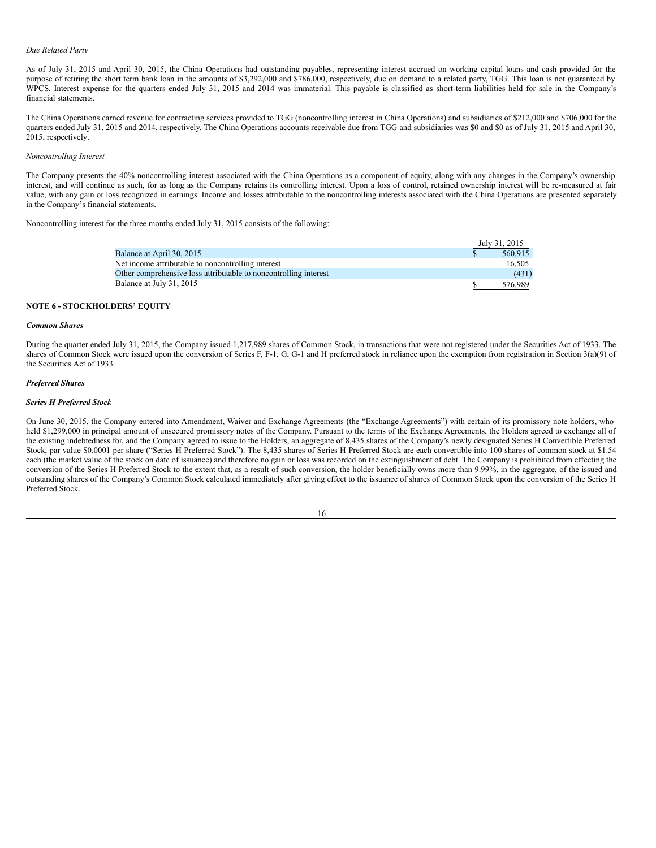#### *Due Related Party*

As of July 31, 2015 and April 30, 2015, the China Operations had outstanding payables, representing interest accrued on working capital loans and cash provided for the purpose of retiring the short term bank loan in the amounts of \$3,292,000 and \$786,000, respectively, due on demand to a related party, TGG. This loan is not guaranteed by WPCS. Interest expense for the quarters ended July 31, 2015 and 2014 was immaterial. This payable is classified as short-term liabilities held for sale in the Company's financial statements.

The China Operations earned revenue for contracting services provided to TGG (noncontrolling interest in China Operations) and subsidiaries of \$212,000 and \$706,000 for the quarters ended July 31, 2015 and 2014, respectively. The China Operations accounts receivable due from TGG and subsidiaries was \$0 and \$0 as of July 31, 2015 and April 30, 2015, respectively.

#### *Noncontrolling Interest*

The Company presents the 40% noncontrolling interest associated with the China Operations as a component of equity, along with any changes in the Company's ownership interest, and will continue as such, for as long as the Company retains its controlling interest. Upon a loss of control, retained ownership interest will be re-measured at fair value, with any gain or loss recognized in earnings. Income and losses attributable to the noncontrolling interests associated with the China Operations are presented separately in the Company's financial statements.

Noncontrolling interest for the three months ended July 31, 2015 consists of the following:

|                                                                  | July 31, 2015 |
|------------------------------------------------------------------|---------------|
| Balance at April 30, 2015                                        | 560,915       |
| Net income attributable to noncontrolling interest               | 16.505        |
| Other comprehensive loss attributable to noncontrolling interest | (431)         |
| Balance at July 31, 2015                                         | 576.989       |

## **NOTE 6 - STOCKHOLDERS' EQUITY**

### *Common Shares*

During the quarter ended July 31, 2015, the Company issued 1,217,989 shares of Common Stock, in transactions that were not registered under the Securities Act of 1933. The shares of Common Stock were issued upon the conversion of Series F, F-1, G, G-1 and H preferred stock in reliance upon the exemption from registration in Section 3(a)(9) of the Securities Act of 1933.

## *Preferred Shares*

### *Series H Preferred Stock*

On June 30, 2015, the Company entered into Amendment, Waiver and Exchange Agreements (the "Exchange Agreements") with certain of its promissory note holders, who held \$1,299,000 in principal amount of unsecured promissory notes of the Company. Pursuant to the terms of the Exchange Agreements, the Holders agreed to exchange all of the existing indebtedness for, and the Company agreed to issue to the Holders, an aggregate of 8,435 shares of the Company's newly designated Series H Convertible Preferred Stock, par value \$0.0001 per share ("Series H Preferred Stock"). The 8,435 shares of Series H Preferred Stock are each convertible into 100 shares of common stock at \$1.54 each (the market value of the stock on date of issuance) and therefore no gain or loss was recorded on the extinguishment of debt. The Company is prohibited from effecting the conversion of the Series H Preferred Stock to the extent that, as a result of such conversion, the holder beneficially owns more than 9.99%, in the aggregate, of the issued and outstanding shares of the Company's Common Stock calculated immediately after giving effect to the issuance of shares of Common Stock upon the conversion of the Series H Preferred Stock.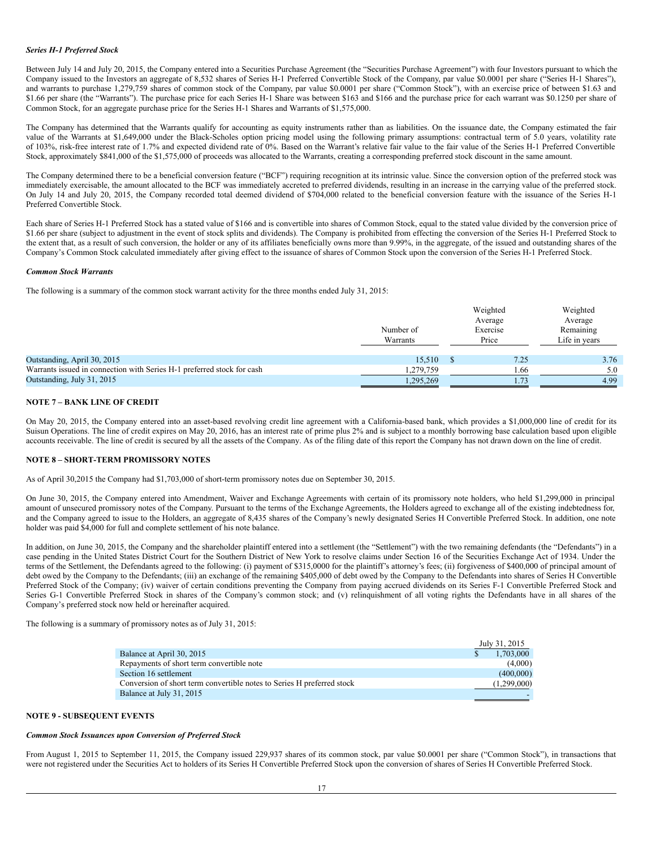### *Series H-1 Preferred Stock*

Between July 14 and July 20, 2015, the Company entered into a Securities Purchase Agreement (the "Securities Purchase Agreement") with four Investors pursuant to which the Company issued to the Investors an aggregate of 8,532 shares of Series H-1 Preferred Convertible Stock of the Company, par value \$0.0001 per share ("Series H-1 Shares"), and warrants to purchase 1,279,759 shares of common stock of the Company, par value \$0.0001 per share ("Common Stock"), with an exercise price of between \$1.63 and \$1.66 per share (the "Warrants"). The purchase price for each Series H-1 Share was between \$163 and \$166 and the purchase price for each warrant was \$0.1250 per share of Common Stock, for an aggregate purchase price for the Series H-1 Shares and Warrants of \$1,575,000.

The Company has determined that the Warrants qualify for accounting as equity instruments rather than as liabilities. On the issuance date, the Company estimated the fair value of the Warrants at \$1,649,000 under the Black-Scholes option pricing model using the following primary assumptions: contractual term of 5.0 years, volatility rate of 103%, risk-free interest rate of 1.7% and expected dividend rate of 0%. Based on the Warrant's relative fair value to the fair value of the Series H-1 Preferred Convertible Stock, approximately \$841,000 of the \$1,575,000 of proceeds was allocated to the Warrants, creating a corresponding preferred stock discount in the same amount.

The Company determined there to be a beneficial conversion feature ("BCF") requiring recognition at its intrinsic value. Since the conversion option of the preferred stock was immediately exercisable, the amount allocated to the BCF was immediately accreted to preferred dividends, resulting in an increase in the carrying value of the preferred stock. On July 14 and July 20, 2015, the Company recorded total deemed dividend of \$704,000 related to the beneficial conversion feature with the issuance of the Series H-1 Preferred Convertible Stock.

Each share of Series H-1 Preferred Stock has a stated value of \$166 and is convertible into shares of Common Stock, equal to the stated value divided by the conversion price of \$1.66 per share (subject to adjustment in the event of stock splits and dividends). The Company is prohibited from effecting the conversion of the Series H-1 Preferred Stock to the extent that, as a result of such conversion, the holder or any of its affiliates beneficially owns more than 9.99%, in the aggregate, of the issued and outstanding shares of the Company's Common Stock calculated immediately after giving effect to the issuance of shares of Common Stock upon the conversion of the Series H-1 Preferred Stock.

#### *Common Stock Warrants*

The following is a summary of the common stock warrant activity for the three months ended July 31, 2015:

|                                                                        | Number of<br>Warrants |  | Weighted<br>Average<br>Exercise<br>Price | Weighted<br>Average<br>Remaining<br>Life in years |  |
|------------------------------------------------------------------------|-----------------------|--|------------------------------------------|---------------------------------------------------|--|
| Outstanding, April 30, 2015                                            | 15.510                |  | 7.25                                     | 3.76                                              |  |
| Warrants issued in connection with Series H-1 preferred stock for cash | 1,279,759             |  | 1.66                                     | 5.0                                               |  |
| Outstanding, July 31, 2015                                             | 1,295,269             |  | 1.73                                     | 4.99                                              |  |

### **NOTE 7 – BANK LINE OF CREDIT**

On May 20, 2015, the Company entered into an asset-based revolving credit line agreement with a California-based bank, which provides a \$1,000,000 line of credit for its Suisun Operations. The line of credit expires on May 20, 2016, has an interest rate of prime plus 2% and is subject to a monthly borrowing base calculation based upon eligible accounts receivable. The line of credit is secured by all the assets of the Company. As of the filing date of this report the Company has not drawn down on the line of credit.

# **NOTE 8 – SHORT-TERM PROMISSORY NOTES**

As of April 30,2015 the Company had \$1,703,000 of short-term promissory notes due on September 30, 2015.

On June 30, 2015, the Company entered into Amendment, Waiver and Exchange Agreements with certain of its promissory note holders, who held \$1,299,000 in principal amount of unsecured promissory notes of the Company. Pursuant to the terms of the Exchange Agreements, the Holders agreed to exchange all of the existing indebtedness for, and the Company agreed to issue to the Holders, an aggregate of 8,435 shares of the Company's newly designated Series H Convertible Preferred Stock. In addition, one note holder was paid \$4,000 for full and complete settlement of his note balance.

In addition, on June 30, 2015, the Company and the shareholder plaintiff entered into a settlement (the "Settlement") with the two remaining defendants (the "Defendants") in a case pending in the United States District Court for the Southern District of New York to resolve claims under Section 16 of the Securities Exchange Act of 1934. Under the terms of the Settlement, the Defendants agreed to the following: (i) payment of \$315,0000 for the plaintiff's attorney's fees; (ii) forgiveness of \$400,000 of principal amount of debt owed by the Company to the Defendants; (iii) an exchange of the remaining \$405,000 of debt owed by the Company to the Defendants into shares of Series H Convertible Preferred Stock of the Company; (iv) waiver of certain conditions preventing the Company from paying accrued dividends on its Series F-1 Convertible Preferred Stock and Series G-1 Convertible Preferred Stock in shares of the Company's common stock; and (v) relinquishment of all voting rights the Defendants have in all shares of the Company's preferred stock now held or hereinafter acquired.

The following is a summary of promissory notes as of July 31, 2015:

|                                                                        | July 31, 2015 |
|------------------------------------------------------------------------|---------------|
| Balance at April 30, 2015                                              | 1,703,000     |
| Repayments of short term convertible note                              | (4.000)       |
| Section 16 settlement                                                  | (400,000)     |
| Conversion of short term convertible notes to Series H preferred stock | (1,299,000)   |
| Balance at July 31, 2015                                               |               |

#### **NOTE 9 - SUBSEQUENT EVENTS**

# *Common Stock Issuances upon Conversion of Preferred Stock*

From August 1, 2015 to September 11, 2015, the Company issued 229,937 shares of its common stock, par value \$0.0001 per share ("Common Stock"), in transactions that were not registered under the Securities Act to holders of its Series H Convertible Preferred Stock upon the conversion of shares of Series H Convertible Preferred Stock.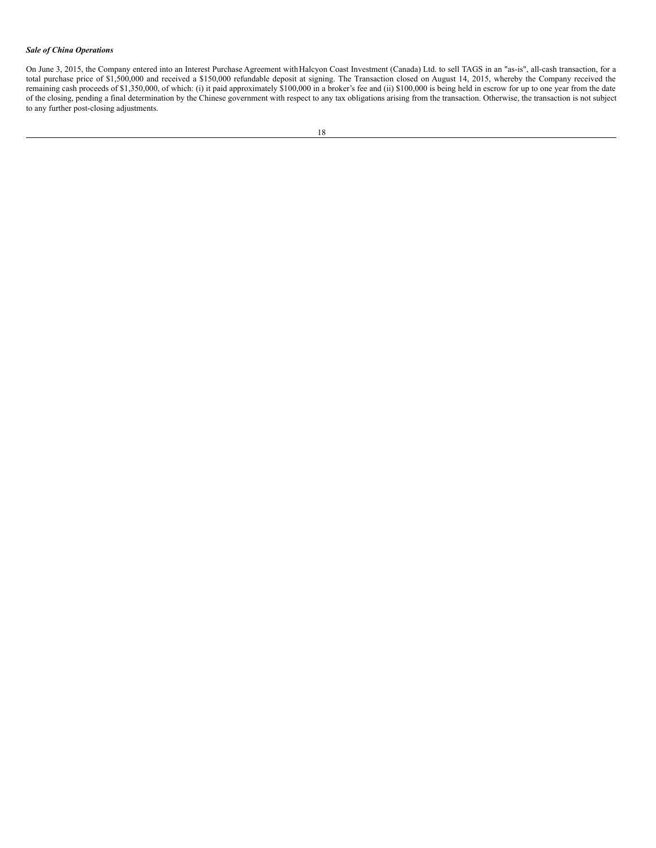## *Sale of China Operations*

On June 3, 2015, the Company entered into an Interest Purchase Agreement withHalcyon Coast Investment (Canada) Ltd. to sell TAGS in an "as-is", all-cash transaction, for a total purchase price of \$1,500,000 and received a \$150,000 refundable deposit at signing. The Transaction closed on August 14, 2015, whereby the Company received the remaining cash proceeds of \$1,350,000, of which: (i) it paid approximately \$100,000 in a broker's fee and (ii) \$100,000 is being held in escrow for up to one year from the date of the closing, pending a final determination by the Chinese government with respect to any tax obligations arising from the transaction. Otherwise, the transaction is not subject to any further post-closing adjustments.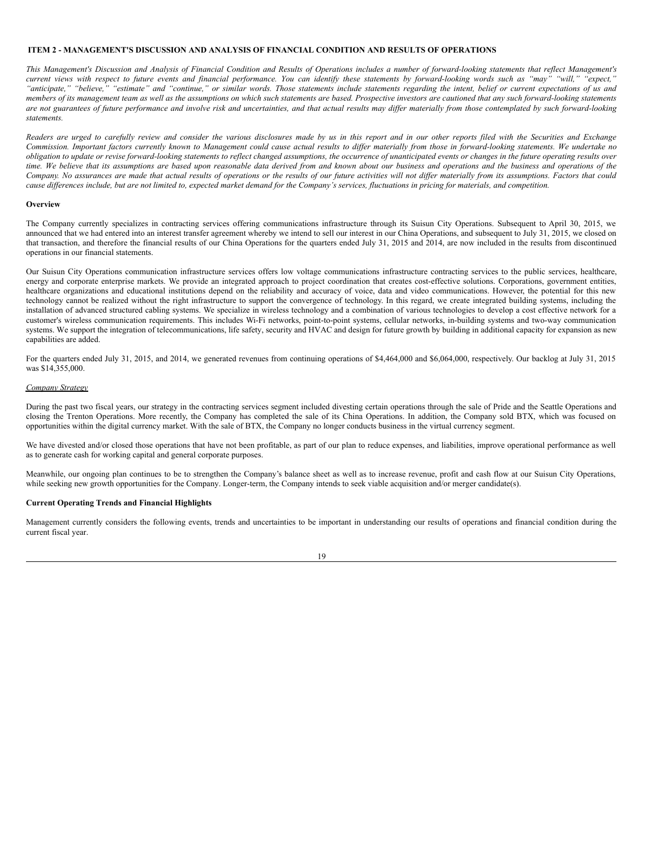#### <span id="page-18-0"></span>**ITEM 2 - MANAGEMENT'S DISCUSSION AND ANALYSIS OF FINANCIAL CONDITION AND RESULTS OF OPERATIONS**

This Management's Discussion and Analysis of Financial Condition and Results of Operations includes a number of forward-looking statements that reflect Management's current views with respect to future events and financial performance. You can identify these statements by forward-looking words such as "may" "will," "expect," "anticipate," "believe," "estimate" and "continue," or similar words. Those statements include statements regarding the intent, belief or current expectations of us and members of its management team as well as the assumptions on which such statements are based. Prospective investors are cautioned that any such forward-looking statements are not guarantees of future performance and involve risk and uncertainties, and that actual results may differ materially from those contemplated by such forward-looking *statements.*

Readers are urged to carefully review and consider the various disclosures made by us in this report and in our other reports filed with the Securities and Exchange Commission. Important factors currently known to Management could cause actual results to differ materially from those in forward-looking statements. We undertake no obligation to update or revise forward-looking statements to reflect changed assumptions, the occurrence of unanticipated events or changes in the future operating results over time. We believe that its assumptions are based upon reasonable data derived from and known about our business and operations and the business and operations of the Company. No assurances are made that actual results of operations or the results of our future activities will not differ materially from its assumptions. Factors that could cause differences include, but are not limited to, expected market demand for the Company's services, fluctuations in pricing for materials, and competition.

#### **Overview**

The Company currently specializes in contracting services offering communications infrastructure through its Suisun City Operations. Subsequent to April 30, 2015, we announced that we had entered into an interest transfer agreement whereby we intend to sell our interest in our China Operations, and subsequent to July 31, 2015, we closed on that transaction, and therefore the financial results of our China Operations for the quarters ended July 31, 2015 and 2014, are now included in the results from discontinued operations in our financial statements.

Our Suisun City Operations communication infrastructure services offers low voltage communications infrastructure contracting services to the public services, healthcare, energy and corporate enterprise markets. We provide an integrated approach to project coordination that creates cost-effective solutions. Corporations, government entities, healthcare organizations and educational institutions depend on the reliability and accuracy of voice, data and video communications. However, the potential for this new technology cannot be realized without the right infrastructure to support the convergence of technology. In this regard, we create integrated building systems, including the installation of advanced structured cabling systems. We specialize in wireless technology and a combination of various technologies to develop a cost effective network for a customer's wireless communication requirements. This includes Wi-Fi networks, point-to-point systems, cellular networks, in-building systems and two-way communication systems. We support the integration of telecommunications, life safety, security and HVAC and design for future growth by building in additional capacity for expansion as new capabilities are added.

For the quarters ended July 31, 2015, and 2014, we generated revenues from continuing operations of \$4,464,000 and \$6,064,000, respectively. Our backlog at July 31, 2015 was \$14,355,000.

### *Company Strategy*

During the past two fiscal years, our strategy in the contracting services segment included divesting certain operations through the sale of Pride and the Seattle Operations and closing the Trenton Operations. More recently, the Company has completed the sale of its China Operations. In addition, the Company sold BTX, which was focused on opportunities within the digital currency market. With the sale of BTX, the Company no longer conducts business in the virtual currency segment.

We have divested and/or closed those operations that have not been profitable, as part of our plan to reduce expenses, and liabilities, improve operational performance as well as to generate cash for working capital and general corporate purposes.

Meanwhile, our ongoing plan continues to be to strengthen the Company's balance sheet as well as to increase revenue, profit and cash flow at our Suisun City Operations, while seeking new growth opportunities for the Company. Longer-term, the Company intends to seek viable acquisition and/or merger candidate(s).

#### **Current Operating Trends and Financial Highlights**

Management currently considers the following events, trends and uncertainties to be important in understanding our results of operations and financial condition during the current fiscal year.

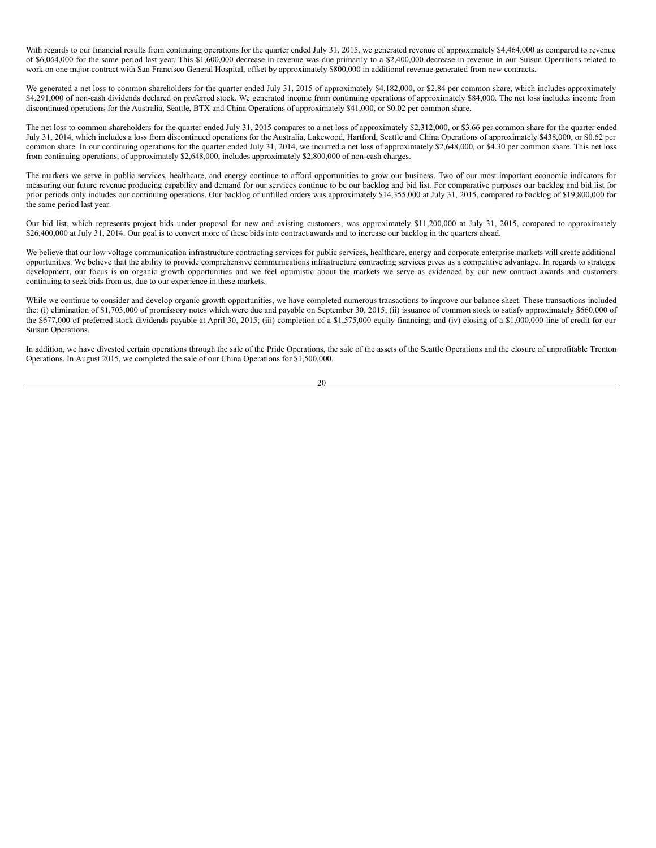With regards to our financial results from continuing operations for the quarter ended July 31, 2015, we generated revenue of approximately \$4,464,000 as compared to revenue of \$6,064,000 for the same period last year. This \$1,600,000 decrease in revenue was due primarily to a \$2,400,000 decrease in revenue in our Suisun Operations related to work on one major contract with San Francisco General Hospital, offset by approximately \$800,000 in additional revenue generated from new contracts.

We generated a net loss to common shareholders for the quarter ended July 31, 2015 of approximately \$4,182,000, or \$2.84 per common share, which includes approximately \$4,291,000 of non-cash dividends declared on preferred stock. We generated income from continuing operations of approximately \$84,000. The net loss includes income from discontinued operations for the Australia, Seattle, BTX and China Operations of approximately \$41,000, or \$0.02 per common share.

The net loss to common shareholders for the quarter ended July 31, 2015 compares to a net loss of approximately \$2,312,000, or \$3.66 per common share for the quarter ended July 31, 2014, which includes a loss from discontinued operations for the Australia, Lakewood, Hartford, Seattle and China Operations of approximately \$438,000, or \$0.62 per common share. In our continuing operations for the quarter ended July 31, 2014, we incurred a net loss of approximately \$2,648,000, or \$4.30 per common share. This net loss from continuing operations, of approximately \$2,648,000, includes approximately \$2,800,000 of non-cash charges.

The markets we serve in public services, healthcare, and energy continue to afford opportunities to grow our business. Two of our most important economic indicators for measuring our future revenue producing capability and demand for our services continue to be our backlog and bid list. For comparative purposes our backlog and bid list for prior periods only includes our continuing operations. Our backlog of unfilled orders was approximately \$14,355,000 at July 31, 2015, compared to backlog of \$19,800,000 for the same period last year.

Our bid list, which represents project bids under proposal for new and existing customers, was approximately \$11,200,000 at July 31, 2015, compared to approximately \$26,400,000 at July 31, 2014. Our goal is to convert more of these bids into contract awards and to increase our backlog in the quarters ahead.

We believe that our low voltage communication infrastructure contracting services for public services, healthcare, energy and corporate enterprise markets will create additional opportunities. We believe that the ability to provide comprehensive communications infrastructure contracting services gives us a competitive advantage. In regards to strategic development, our focus is on organic growth opportunities and we feel optimistic about the markets we serve as evidenced by our new contract awards and customers continuing to seek bids from us, due to our experience in these markets.

While we continue to consider and develop organic growth opportunities, we have completed numerous transactions to improve our balance sheet. These transactions included the: (i) elimination of \$1,703,000 of promissory notes which were due and payable on September 30, 2015; (ii) issuance of common stock to satisfy approximately \$660,000 of the \$677,000 of preferred stock dividends payable at April 30, 2015; (iii) completion of a \$1,575,000 equity financing; and (iv) closing of a \$1,000,000 line of credit for our Suisun Operations.

In addition, we have divested certain operations through the sale of the Pride Operations, the sale of the assets of the Seattle Operations and the closure of unprofitable Trenton Operations. In August 2015, we completed the sale of our China Operations for \$1,500,000.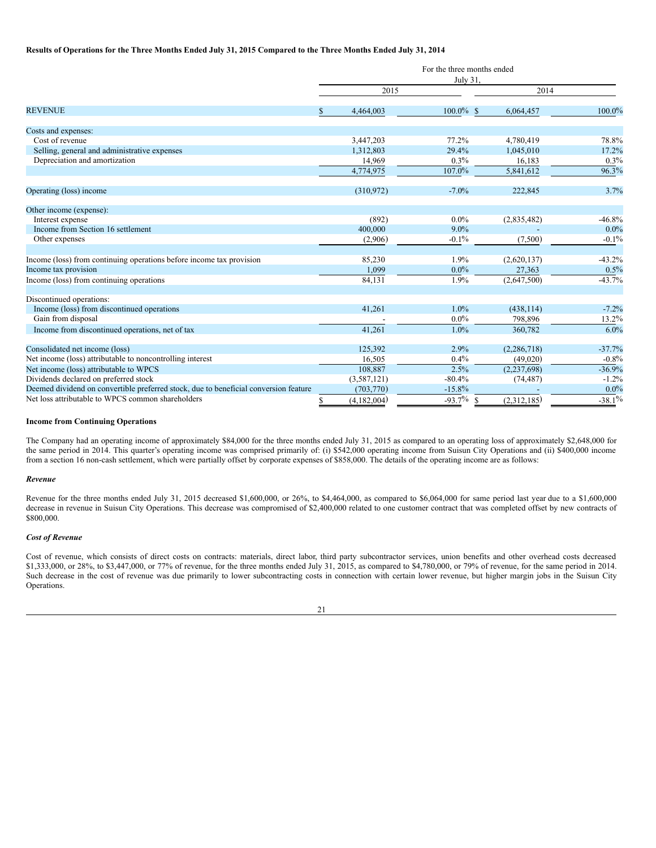### Results of Operations for the Three Months Ended July 31, 2015 Compared to the Three Months Ended July 31, 2014

|                                                                                      |          |               | For the three months ended |               |          |
|--------------------------------------------------------------------------------------|----------|---------------|----------------------------|---------------|----------|
|                                                                                      |          | July 31,      |                            |               |          |
|                                                                                      |          | 2015          |                            | 2014          |          |
| <b>REVENUE</b>                                                                       | <b>S</b> | 4,464,003     | $100.0\%$ \$               | 6,064,457     | 100.0%   |
| Costs and expenses:                                                                  |          |               |                            |               |          |
| Cost of revenue                                                                      |          | 3,447,203     | 77.2%                      | 4,780,419     | 78.8%    |
| Selling, general and administrative expenses                                         |          | 1,312,803     | 29.4%                      | 1,045,010     | 17.2%    |
| Depreciation and amortization                                                        |          | 14,969        | 0.3%                       | 16,183        | 0.3%     |
|                                                                                      |          | 4,774,975     | 107.0%                     | 5,841,612     | 96.3%    |
| Operating (loss) income                                                              |          | (310,972)     | $-7.0%$                    | 222,845       | 3.7%     |
| Other income (expense):                                                              |          |               |                            |               |          |
| Interest expense                                                                     |          | (892)         | $0.0\%$                    | (2,835,482)   | $-46.8%$ |
| Income from Section 16 settlement                                                    |          | 400,000       | $9.0\%$                    |               | $0.0\%$  |
| Other expenses                                                                       |          | (2,906)       | $-0.1\%$                   | (7,500)       | $-0.1\%$ |
| Income (loss) from continuing operations before income tax provision                 |          | 85,230        | 1.9%                       | (2,620,137)   | $-43.2%$ |
| Income tax provision                                                                 |          | 1,099         | $0.0\%$                    | 27,363        | 0.5%     |
| Income (loss) from continuing operations                                             |          | 84,131        | 1.9%                       | (2,647,500)   | $-43.7%$ |
| Discontinued operations:                                                             |          |               |                            |               |          |
| Income (loss) from discontinued operations                                           |          | 41,261        | 1.0%                       | (438, 114)    | $-7.2%$  |
| Gain from disposal                                                                   |          |               | $0.0\%$                    | 798.896       | 13.2%    |
| Income from discontinued operations, net of tax                                      |          | 41,261        | 1.0%                       | 360,782       | 6.0%     |
| Consolidated net income (loss)                                                       |          | 125,392       | 2.9%                       | (2, 286, 718) | $-37.7%$ |
| Net income (loss) attributable to noncontrolling interest                            |          | 16.505        | $0.4\%$                    | (49.020)      | $-0.8%$  |
| Net income (loss) attributable to WPCS                                               |          | 108,887       | 2.5%                       | (2, 237, 698) | $-36.9%$ |
| Dividends declared on preferred stock                                                |          | (3, 587, 121) | $-80.4%$                   | (74, 487)     | $-1.2%$  |
| Deemed dividend on convertible preferred stock, due to beneficial conversion feature |          | (703, 770)    | $-15.8%$                   |               | $0.0\%$  |
| Net loss attributable to WPCS common shareholders                                    | \$       | (4,182,004)   | $-93.7\%$ \$               | (2,312,185)   | $-38.1%$ |

#### **Income from Continuing Operations**

The Company had an operating income of approximately \$84,000 for the three months ended July 31, 2015 as compared to an operating loss of approximately \$2,648,000 for the same period in 2014. This quarter's operating income was comprised primarily of: (i) \$542,000 operating income from Suisun City Operations and (ii) \$400,000 income from a section 16 non-cash settlement, which were partially offset by corporate expenses of \$858,000. The details of the operating income are as follows:

#### *Revenue*

Revenue for the three months ended July 31, 2015 decreased \$1,600,000, or 26%, to \$4,464,000, as compared to \$6,064,000 for same period last year due to a \$1,600,000 decrease in revenue in Suisun City Operations. This decrease was compromised of \$2,400,000 related to one customer contract that was completed offset by new contracts of \$800,000.

# *Cost of Revenue*

Cost of revenue, which consists of direct costs on contracts: materials, direct labor, third party subcontractor services, union benefits and other overhead costs decreased \$1,333,000, or 28%, to \$3,447,000, or 77% of revenue, for the three months ended July 31, 2015, as compared to \$4,780,000, or 79% of revenue, for the same period in 2014. Such decrease in the cost of revenue was due primarily to lower subcontracting costs in connection with certain lower revenue, but higher margin jobs in the Suisun City Operations.

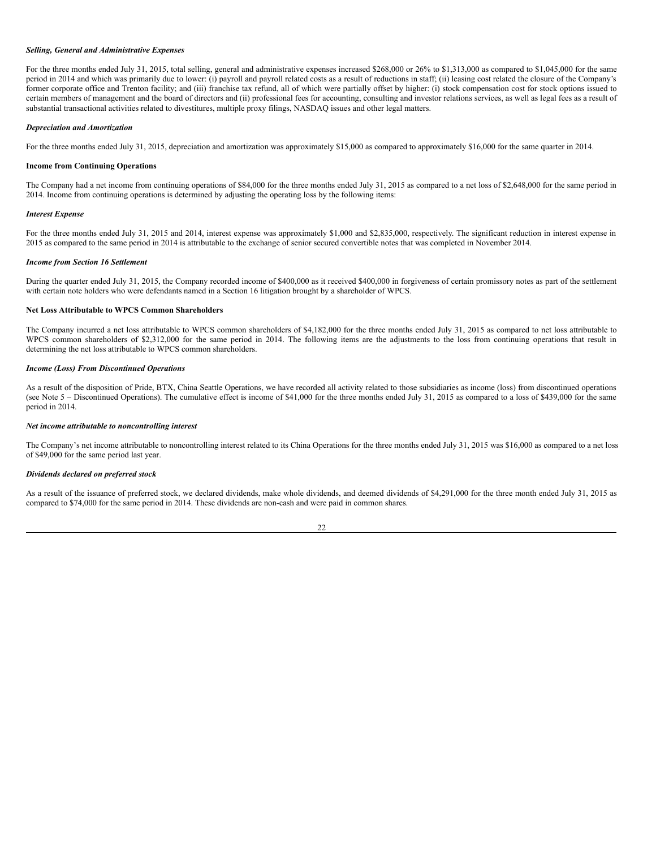#### *Selling, General and Administrative Expenses*

For the three months ended July 31, 2015, total selling, general and administrative expenses increased \$268,000 or 26% to \$1,313,000 as compared to \$1,045,000 for the same period in 2014 and which was primarily due to lower: (i) payroll and payroll related costs as a result of reductions in staff; (ii) leasing cost related the closure of the Company's former corporate office and Trenton facility; and (iii) franchise tax refund, all of which were partially offset by higher: (i) stock compensation cost for stock options issued to certain members of management and the board of directors and (ii) professional fees for accounting, consulting and investor relations services, as well as legal fees as a result of substantial transactional activities related to divestitures, multiple proxy filings, NASDAQ issues and other legal matters.

#### *Depreciation and Amortization*

For the three months ended July 31, 2015, depreciation and amortization was approximately \$15,000 as compared to approximately \$16,000 for the same quarter in 2014.

#### **Income from Continuing Operations**

The Company had a net income from continuing operations of \$84,000 for the three months ended July 31, 2015 as compared to a net loss of \$2,648,000 for the same period in 2014. Income from continuing operations is determined by adjusting the operating loss by the following items:

#### *Interest Expense*

For the three months ended July 31, 2015 and 2014, interest expense was approximately \$1,000 and \$2,835,000, respectively. The significant reduction in interest expense in 2015 as compared to the same period in 2014 is attributable to the exchange of senior secured convertible notes that was completed in November 2014.

#### *Income from Section 16 Settlement*

During the quarter ended July 31, 2015, the Company recorded income of \$400,000 as it received \$400,000 in forgiveness of certain promissory notes as part of the settlement with certain note holders who were defendants named in a Section 16 litigation brought by a shareholder of WPCS.

### **Net Loss Attributable to WPCS Common Shareholders**

The Company incurred a net loss attributable to WPCS common shareholders of \$4,182,000 for the three months ended July 31, 2015 as compared to net loss attributable to WPCS common shareholders of \$2,312,000 for the same period in 2014. The following items are the adjustments to the loss from continuing operations that result in determining the net loss attributable to WPCS common shareholders.

#### *Income (Loss) From Discontinued Operations*

As a result of the disposition of Pride, BTX, China Seattle Operations, we have recorded all activity related to those subsidiaries as income (loss) from discontinued operations (see Note 5 – Discontinued Operations). The cumulative effect is income of \$41,000 for the three months ended July 31, 2015 as compared to a loss of \$439,000 for the same period in 2014.

#### *Net income attributable to noncontrolling interest*

The Company's net income attributable to noncontrolling interest related to its China Operations for the three months ended July 31, 2015 was \$16,000 as compared to a net loss of \$49,000 for the same period last year.

#### *Dividends declared on preferred stock*

As a result of the issuance of preferred stock, we declared dividends, make whole dividends, and deemed dividends of \$4,291,000 for the three month ended July 31, 2015 as compared to \$74,000 for the same period in 2014. These dividends are non-cash and were paid in common shares.

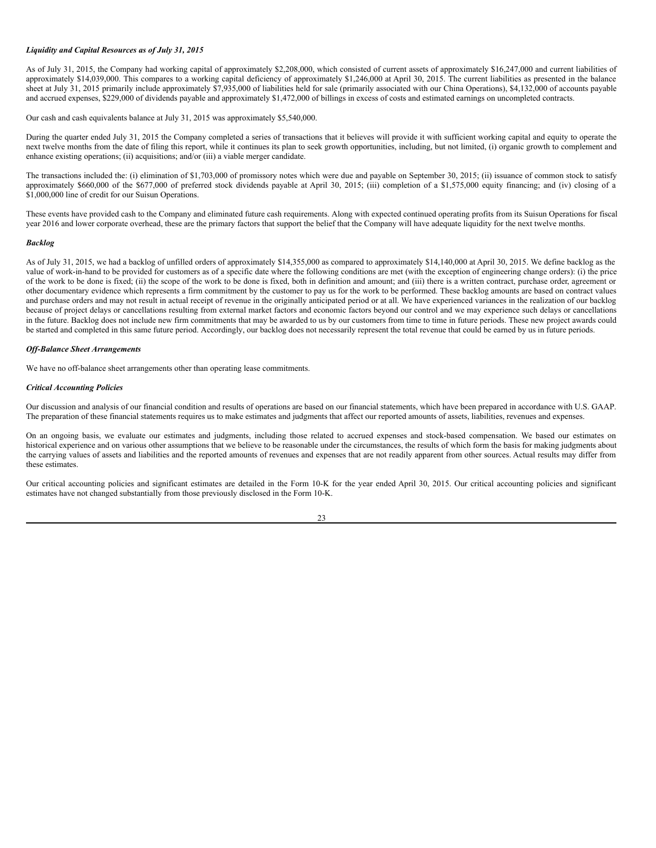### *Liquidity and Capital Resources as of July 31, 2015*

As of July 31, 2015, the Company had working capital of approximately \$2,208,000, which consisted of current assets of approximately \$16,247,000 and current liabilities of approximately \$14,039,000. This compares to a working capital deficiency of approximately \$1,246,000 at April 30, 2015. The current liabilities as presented in the balance sheet at July 31, 2015 primarily include approximately \$7,935,000 of liabilities held for sale (primarily associated with our China Operations), \$4,132,000 of accounts payable and accrued expenses, \$229,000 of dividends payable and approximately \$1,472,000 of billings in excess of costs and estimated earnings on uncompleted contracts.

Our cash and cash equivalents balance at July 31, 2015 was approximately \$5,540,000.

During the quarter ended July 31, 2015 the Company completed a series of transactions that it believes will provide it with sufficient working capital and equity to operate the next twelve months from the date of filing this report, while it continues its plan to seek growth opportunities, including, but not limited, (i) organic growth to complement and enhance existing operations; (ii) acquisitions; and/or (iii) a viable merger candidate.

The transactions included the: (i) elimination of \$1,703,000 of promissory notes which were due and payable on September 30, 2015; (ii) issuance of common stock to satisfy approximately \$660,000 of the \$677,000 of preferred stock dividends payable at April 30, 2015; (iii) completion of a \$1,575,000 equity financing; and (iv) closing of a \$1,000,000 line of credit for our Suisun Operations.

These events have provided cash to the Company and eliminated future cash requirements. Along with expected continued operating profits from its Suisun Operations for fiscal year 2016 and lower corporate overhead, these are the primary factors that support the belief that the Company will have adequate liquidity for the next twelve months.

### *Backlog*

As of July 31, 2015, we had a backlog of unfilled orders of approximately \$14,355,000 as compared to approximately \$14,140,000 at April 30, 2015. We define backlog as the value of work-in-hand to be provided for customers as of a specific date where the following conditions are met (with the exception of engineering change orders): (i) the price of the work to be done is fixed; (ii) the scope of the work to be done is fixed, both in definition and amount; and (iii) there is a written contract, purchase order, agreement or other documentary evidence which represents a firm commitment by the customer to pay us for the work to be performed. These backlog amounts are based on contract values and purchase orders and may not result in actual receipt of revenue in the originally anticipated period or at all. We have experienced variances in the realization of our backlog because of project delays or cancellations resulting from external market factors and economic factors beyond our control and we may experience such delays or cancellations in the future. Backlog does not include new firm commitments that may be awarded to us by our customers from time to time in future periods. These new project awards could be started and completed in this same future period. Accordingly, our backlog does not necessarily represent the total revenue that could be earned by us in future periods.

### *Of -Balance Sheet Arrangements*

We have no off-balance sheet arrangements other than operating lease commitments.

## *Critical Accounting Policies*

Our discussion and analysis of our financial condition and results of operations are based on our financial statements, which have been prepared in accordance with U.S. GAAP. The preparation of these financial statements requires us to make estimates and judgments that affect our reported amounts of assets, liabilities, revenues and expenses.

On an ongoing basis, we evaluate our estimates and judgments, including those related to accrued expenses and stock-based compensation. We based our estimates on historical experience and on various other assumptions that we believe to be reasonable under the circumstances, the results of which form the basis for making judgments about the carrying values of assets and liabilities and the reported amounts of revenues and expenses that are not readily apparent from other sources. Actual results may differ from these estimates.

Our critical accounting policies and significant estimates are detailed in the Form 10-K for the year ended April 30, 2015. Our critical accounting policies and significant estimates have not changed substantially from those previously disclosed in the Form 10-K.

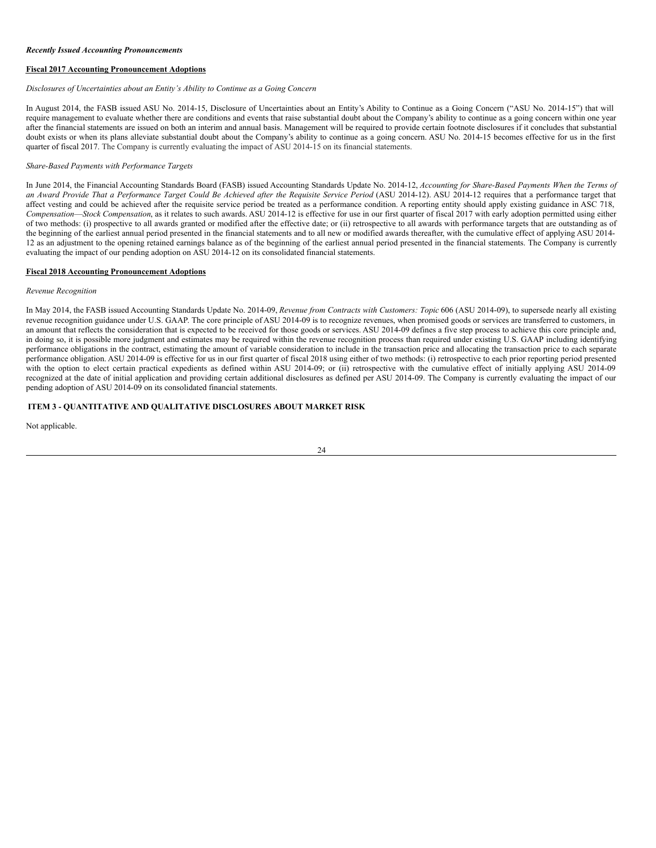#### *Recently Issued Accounting Pronouncements*

#### **Fiscal 2017 Accounting Pronouncement Adoptions**

# *Disclosures of Uncertainties about an Entity's Ability to Continue as a Going Concern*

In August 2014, the FASB issued ASU No. 2014-15, Disclosure of Uncertainties about an Entity's Ability to Continue as a Going Concern ("ASU No. 2014-15") that will require management to evaluate whether there are conditions and events that raise substantial doubt about the Company's ability to continue as a going concern within one year after the financial statements are issued on both an interim and annual basis. Management will be required to provide certain footnote disclosures if it concludes that substantial doubt exists or when its plans alleviate substantial doubt about the Company's ability to continue as a going concern. ASU No. 2014-15 becomes effective for us in the first quarter of fiscal 2017. The Company is currently evaluating the impact of ASU 2014-15 on its financial statements.

### *Share-Based Payments with Performance Targets*

In June 2014, the Financial Accounting Standards Board (FASB) issued Accounting Standards Update No. 2014-12, *Accounting for Share-Based Payments When the Terms of* an Award Provide That a Performance Target Could Be Achieved after the Requisite Service Period (ASU 2014-12). ASU 2014-12 requires that a performance target that affect vesting and could be achieved after the requisite service period be treated as a performance condition. A reporting entity should apply existing guidance in ASC 718, *Compensation*—*Stock Compensation*, as it relates to such awards. ASU 2014-12 is effective for use in our first quarter of fiscal 2017 with early adoption permitted using either of two methods: (i) prospective to all awards granted or modified after the effective date; or (ii) retrospective to all awards with performance targets that are outstanding as of the beginning of the earliest annual period presented in the financial statements and to all new or modified awards thereafter, with the cumulative effect of applying ASU 2014- 12 as an adjustment to the opening retained earnings balance as of the beginning of the earliest annual period presented in the financial statements. The Company is currently evaluating the impact of our pending adoption on ASU 2014-12 on its consolidated financial statements.

#### **Fiscal 2018 Accounting Pronouncement Adoptions**

#### *Revenue Recognition*

In May 2014, the FASB issued Accounting Standards Update No. 2014-09, *Revenue from Contracts with Customers: Topic* 606 (ASU 2014-09), to supersede nearly all existing revenue recognition guidance under U.S. GAAP. The core principle of ASU 2014-09 is to recognize revenues, when promised goods or services are transferred to customers, in an amount that reflects the consideration that is expected to be received for those goods or services. ASU 2014-09 defines a five step process to achieve this core principle and, in doing so, it is possible more judgment and estimates may be required within the revenue recognition process than required under existing U.S. GAAP including identifying performance obligations in the contract, estimating the amount of variable consideration to include in the transaction price and allocating the transaction price to each separate performance obligation. ASU 2014-09 is effective for us in our first quarter of fiscal 2018 using either of two methods: (i) retrospective to each prior reporting period presented with the option to elect certain practical expedients as defined within ASU 2014-09; or (ii) retrospective with the cumulative effect of initially applying ASU 2014-09 recognized at the date of initial application and providing certain additional disclosures as defined per ASU 2014-09. The Company is currently evaluating the impact of our pending adoption of ASU 2014-09 on its consolidated financial statements.

### <span id="page-23-0"></span>**ITEM 3 - QUANTITATIVE AND QUALITATIVE DISCLOSURES ABOUT MARKET RISK**

Not applicable.

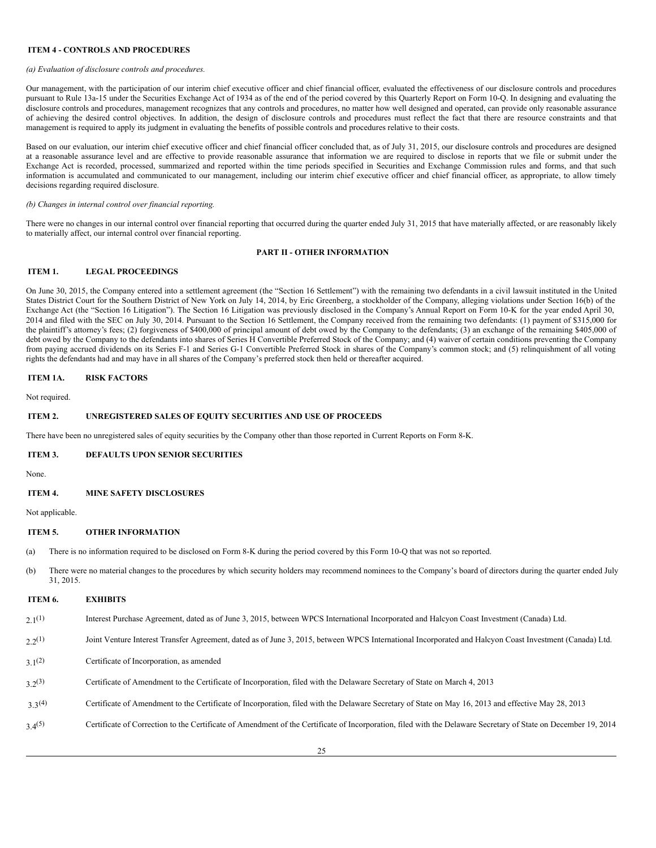#### <span id="page-24-0"></span>**ITEM 4 - CONTROLS AND PROCEDURES**

#### *(a) Evaluation of disclosure controls and procedures.*

Our management, with the participation of our interim chief executive officer and chief financial officer, evaluated the effectiveness of our disclosure controls and procedures pursuant to Rule 13a-15 under the Securities Exchange Act of 1934 as of the end of the period covered by this Quarterly Report on Form 10-Q. In designing and evaluating the disclosure controls and procedures, management recognizes that any controls and procedures, no matter how well designed and operated, can provide only reasonable assurance of achieving the desired control objectives. In addition, the design of disclosure controls and procedures must reflect the fact that there are resource constraints and that management is required to apply its judgment in evaluating the benefits of possible controls and procedures relative to their costs.

Based on our evaluation, our interim chief executive officer and chief financial officer concluded that, as of July 31, 2015, our disclosure controls and procedures are designed at a reasonable assurance level and are effective to provide reasonable assurance that information we are required to disclose in reports that we file or submit under the Exchange Act is recorded, processed, summarized and reported within the time periods specified in Securities and Exchange Commission rules and forms, and that such information is accumulated and communicated to our management, including our interim chief executive officer and chief financial officer, as appropriate, to allow timely decisions regarding required disclosure.

### *(b) Changes in internal control over financial reporting.*

There were no changes in our internal control over financial reporting that occurred during the quarter ended July 31, 2015 that have materially affected, or are reasonably likely to materially affect, our internal control over financial reporting.

# <span id="page-24-1"></span>**PART II - OTHER INFORMATION**

#### <span id="page-24-2"></span>**ITEM 1. LEGAL PROCEEDINGS**

On June 30, 2015, the Company entered into a settlement agreement (the "Section 16 Settlement") with the remaining two defendants in a civil lawsuit instituted in the United States District Court for the Southern District of New York on July 14, 2014, by Eric Greenberg, a stockholder of the Company, alleging violations under Section 16(b) of the Exchange Act (the "Section 16 Litigation"). The Section 16 Litigation was previously disclosed in the Company's Annual Report on Form 10-K for the year ended April 30, 2014 and filed with the SEC on July 30, 2014. Pursuant to the Section 16 Settlement, the Company received from the remaining two defendants: (1) payment of \$315,000 for the plaintiff's attorney's fees; (2) forgiveness of \$400,000 of principal amount of debt owed by the Company to the defendants; (3) an exchange of the remaining \$405,000 of debt owed by the Company to the defendants into shares of Series H Convertible Preferred Stock of the Company; and (4) waiver of certain conditions preventing the Company from paying accrued dividends on its Series F-1 and Series G-1 Convertible Preferred Stock in shares of the Company's common stock; and (5) relinquishment of all voting rights the defendants had and may have in all shares of the Company's preferred stock then held or thereafter acquired.

## <span id="page-24-3"></span>**ITEM 1A. RISK FACTORS**

Not required.

### <span id="page-24-4"></span>**ITEM 2. UNREGISTERED SALES OF EQUITY SECURITIES AND USE OF PROCEEDS**

There have been no unregistered sales of equity securities by the Company other than those reported in Current Reports on Form 8-K.

#### <span id="page-24-5"></span>**ITEM 3. DEFAULTS UPON SENIOR SECURITIES**

None.

### <span id="page-24-6"></span>**ITEM 4. MINE SAFETY DISCLOSURES**

Not applicable.

#### <span id="page-24-7"></span>**ITEM 5. OTHER INFORMATION**

- (a) There is no information required to be disclosed on Form 8-K during the period covered by this Form 10-Q that was not so reported.
- (b) There were no material changes to the procedures by which security holders may recommend nominees to the Company's board of directors during the quarter ended July 31, 2015.

### <span id="page-24-8"></span>**ITEM 6. EXHIBITS**

- $2.1^{(1)}$ (1) Interest Purchase Agreement, dated as of June 3, 2015, between WPCS International Incorporated and Halcyon Coast Investment (Canada) Ltd.
- $2.2^{(1)}$ (1) Joint Venture Interest Transfer Agreement, dated as of June 3, 2015, between WPCS International Incorporated and Halcyon Coast Investment (Canada) Ltd.
- 3.1 $(2)$ Certificate of Incorporation, as amended
- $3.2^{(3)}$ (3) Certificate of Amendment to the Certificate of Incorporation, filed with the Delaware Secretary of State on March 4, 2013
- $3.3^{(4)}$ (4) Certificate of Amendment to the Certificate of Incorporation, filed with the Delaware Secretary of State on May 16, 2013 and effective May 28, 2013
- $3.4^{(5)}$ (5) Certificate of Correction to the Certificate of Amendment of the Certificate of Incorporation, filed with the Delaware Secretary of State on December 19, 2014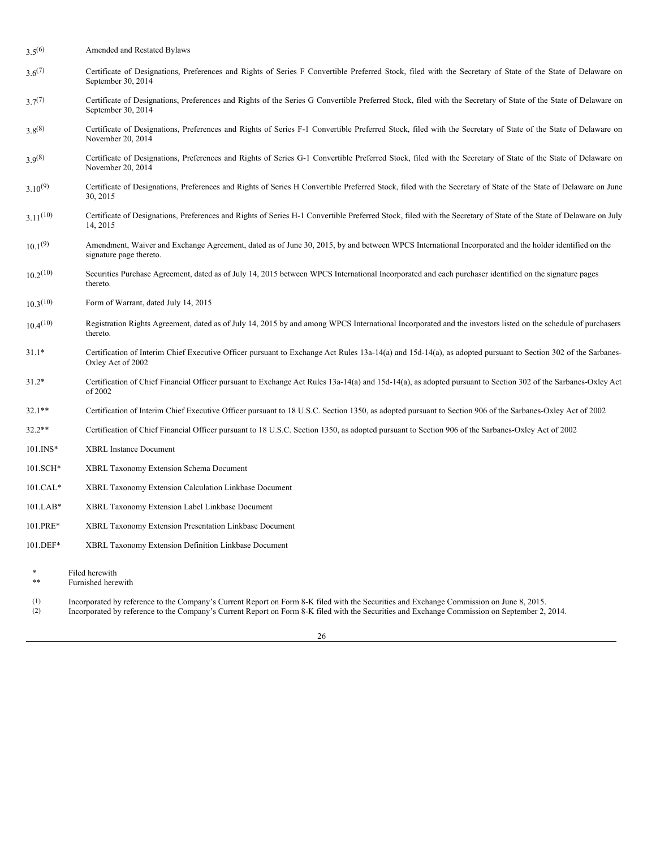| $3.5^{(6)}$   | Amended and Restated Bylaws                                                                                                                                                          |
|---------------|--------------------------------------------------------------------------------------------------------------------------------------------------------------------------------------|
| $3.6^{(7)}$   | Certificate of Designations, Preferences and Rights of Series F Convertible Preferred Stock, filed with the Secretary of State of the State of Delaware on<br>September 30, 2014     |
| $3.7^{(7)}$   | Certificate of Designations, Preferences and Rights of the Series G Convertible Preferred Stock, filed with the Secretary of State of the State of Delaware on<br>September 30, 2014 |
| $3.8^{(8)}$   | Certificate of Designations, Preferences and Rights of Series F-1 Convertible Preferred Stock, filed with the Secretary of State of the State of Delaware on<br>November 20, 2014    |
| $3.9^{(8)}$   | Certificate of Designations, Preferences and Rights of Series G-1 Convertible Preferred Stock, filed with the Secretary of State of the State of Delaware on<br>November 20, 2014    |
| $3.10^{(9)}$  | Certificate of Designations, Preferences and Rights of Series H Convertible Preferred Stock, filed with the Secretary of State of the State of Delaware on June<br>30, 2015          |
| $3.11^{(10)}$ | Certificate of Designations, Preferences and Rights of Series H-1 Convertible Preferred Stock, filed with the Secretary of State of the State of Delaware on July<br>14, 2015        |
| $10.1^{(9)}$  | Amendment, Waiver and Exchange Agreement, dated as of June 30, 2015, by and between WPCS International Incorporated and the holder identified on the<br>signature page thereto.      |
| $10.2^{(10)}$ | Securities Purchase Agreement, dated as of July 14, 2015 between WPCS International Incorporated and each purchaser identified on the signature pages<br>thereto.                    |
| $10.3^{(10)}$ | Form of Warrant, dated July 14, 2015                                                                                                                                                 |
| $10.4^{(10)}$ | Registration Rights Agreement, dated as of July 14, 2015 by and among WPCS International Incorporated and the investors listed on the schedule of purchasers<br>thereto.             |
| $31.1*$       | Certification of Interim Chief Executive Officer pursuant to Exchange Act Rules 13a-14(a) and 15d-14(a), as adopted pursuant to Section 302 of the Sarbanes-<br>Oxley Act of 2002    |
| $31.2*$       | Certification of Chief Financial Officer pursuant to Exchange Act Rules 13a-14(a) and 15d-14(a), as adopted pursuant to Section 302 of the Sarbanes-Oxley Act<br>of 2002             |
| $32.1**$      | Certification of Interim Chief Executive Officer pursuant to 18 U.S.C. Section 1350, as adopted pursuant to Section 906 of the Sarbanes-Oxley Act of 2002                            |
| $32.2**$      | Certification of Chief Financial Officer pursuant to 18 U.S.C. Section 1350, as adopted pursuant to Section 906 of the Sarbanes-Oxley Act of 2002                                    |
| 101.INS*      | <b>XBRL Instance Document</b>                                                                                                                                                        |
| $101.SCH*$    | XBRL Taxonomy Extension Schema Document                                                                                                                                              |
| $101.CAL*$    | XBRL Taxonomy Extension Calculation Linkbase Document                                                                                                                                |
| $101.LAB*$    | XBRL Taxonomy Extension Label Linkbase Document                                                                                                                                      |
| 101.PRE*      | XBRL Taxonomy Extension Presentation Linkbase Document                                                                                                                               |
| 101.DEF*      | XBRL Taxonomy Extension Definition Linkbase Document                                                                                                                                 |

\* Filed herewith<br>\*\* Europe here

 ${\hbox{Furnished}}$  herewith

(1) Incorporated by reference to the Company's Current Report on Form 8-K filed with the Securities and Exchange Commission on June 8, 2015. (2) Incorporated by reference to the Company's Current Report on Form 8-K filed with the Securities and Exchange Commission on September 2, 2014.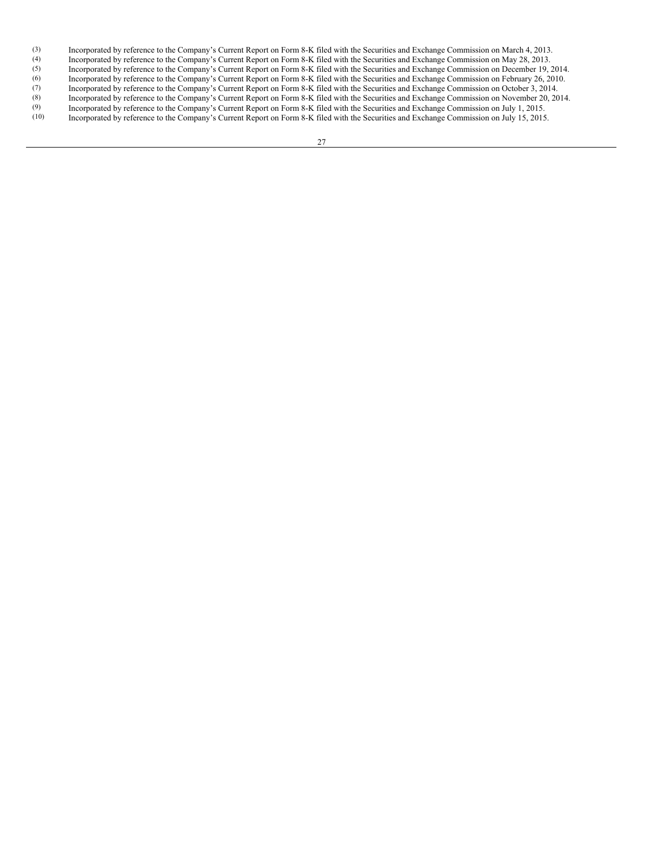(3) Incorporated by reference to the Company's Current Report on Form 8-K filed with the Securities and Exchange Commission on March 4, 2013.<br>(4) Incorporated by reference to the Company's Current Report on Form 8-K filed (4) Incorporated by reference to the Company's Current Report on Form 8-K filed with the Securities and Exchange Commission on May 28, 2013.<br>(5) Incorporated by reference to the Company's Current Report on Form 8-K filed w (5) Incorporated by reference to the Company's Current Report on Form 8-K filed with the Securities and Exchange Commission on December 19, 2014.<br>(6) Incorporated by reference to the Company's Current Report on Form 8-K fi (6) Incorporated by reference to the Company's Current Report on Form 8-K filed with the Securities and Exchange Commission on February 26, 2010.<br>(7) Incorporated by reference to the Company's Current Report on Form 8-K fi (7) Incorporated by reference to the Company's Current Report on Form 8-K filed with the Securities and Exchange Commission on October 3, 2014. (8) Incorporated by reference to the Company's Current Report on Form 8-K filed with the Securities and Exchange Commission on November 20, 2014.<br>(9) Incorporated by reference to the Company's Current Report on Form 8-K fi (9) Incorporated by reference to the Company's Current Report on Form 8-K filed with the Securities and Exchange Commission on July 1, 2015. (10) Incorporated by reference to the Company's Current Report on Form 8-K filed with the Securities and Exchange Commission on July 15, 2015.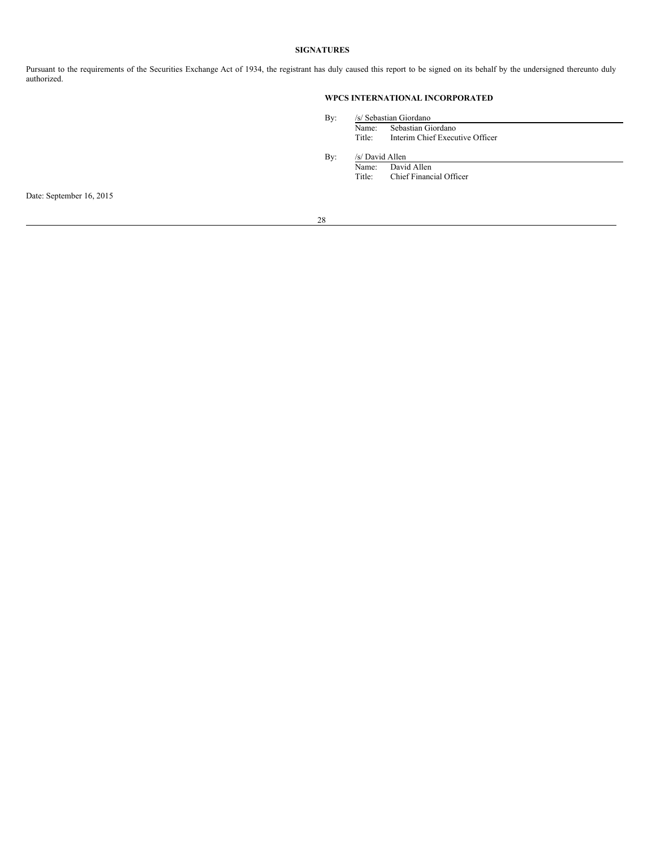# <span id="page-27-0"></span>**SIGNATURES**

Pursuant to the requirements of the Securities Exchange Act of 1934, the registrant has duly caused this report to be signed on its behalf by the undersigned thereunto duly authorized.

# **WPCS INTERNATIONAL INCORPORATED**

- By: /s/ Sebastian Giordano<br>Name: Sebastian Gi Sebastian Giordano Title: Interim Chief Executive Officer
- By: /s/ David Allen Name: David Allen<br>Title: Chief Financ Chief Financial Officer

Date: September 16, 2015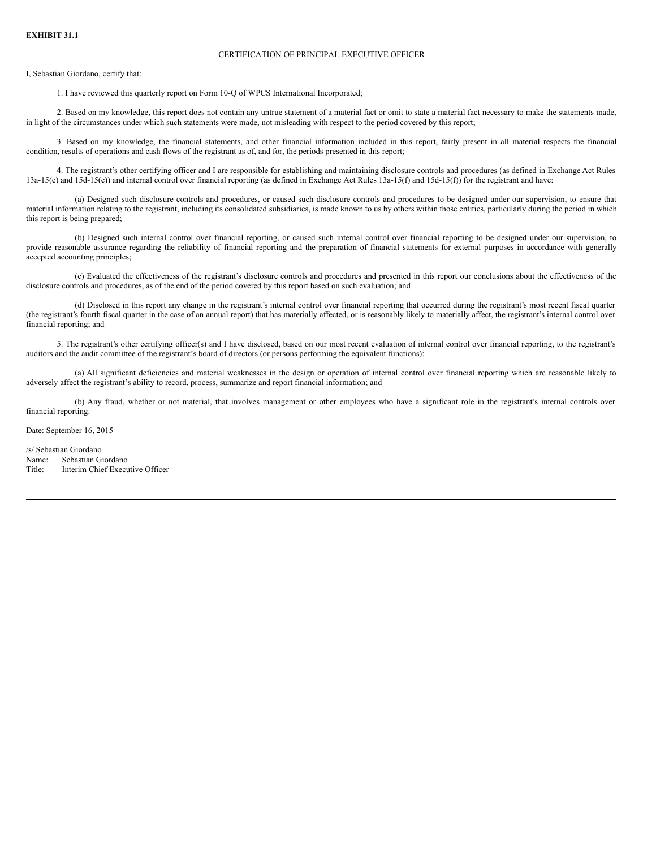#### CERTIFICATION OF PRINCIPAL EXECUTIVE OFFICER

I, Sebastian Giordano, certify that:

1. I have reviewed this quarterly report on Form 10-Q of WPCS International Incorporated;

2. Based on my knowledge, this report does not contain any untrue statement of a material fact or omit to state a material fact necessary to make the statements made, in light of the circumstances under which such statements were made, not misleading with respect to the period covered by this report;

3. Based on my knowledge, the financial statements, and other financial information included in this report, fairly present in all material respects the financial condition, results of operations and cash flows of the registrant as of, and for, the periods presented in this report;

4. The registrant's other certifying officer and I are responsible for establishing and maintaining disclosure controls and procedures (as defined in Exchange Act Rules 13a-15(e) and 15d-15(e)) and internal control over financial reporting (as defined in Exchange Act Rules 13a-15(f) and 15d-15(f)) for the registrant and have:

(a) Designed such disclosure controls and procedures, or caused such disclosure controls and procedures to be designed under our supervision, to ensure that material information relating to the registrant, including its consolidated subsidiaries, is made known to us by others within those entities, particularly during the period in which this report is being prepared;

(b) Designed such internal control over financial reporting, or caused such internal control over financial reporting to be designed under our supervision, to provide reasonable assurance regarding the reliability of financial reporting and the preparation of financial statements for external purposes in accordance with generally accepted accounting principles;

(c) Evaluated the effectiveness of the registrant's disclosure controls and procedures and presented in this report our conclusions about the effectiveness of the disclosure controls and procedures, as of the end of the period covered by this report based on such evaluation; and

(d) Disclosed in this report any change in the registrant's internal control over financial reporting that occurred during the registrant's most recent fiscal quarter (the registrant's fourth fiscal quarter in the case of an annual report) that has materially affected, or is reasonably likely to materially affect, the registrant's internal control over financial reporting; and

5. The registrant's other certifying officer(s) and I have disclosed, based on our most recent evaluation of internal control over financial reporting, to the registrant's auditors and the audit committee of the registrant's board of directors (or persons performing the equivalent functions):

(a) All significant deficiencies and material weaknesses in the design or operation of internal control over financial reporting which are reasonable likely to adversely affect the registrant's ability to record, process, summarize and report financial information; and

(b) Any fraud, whether or not material, that involves management or other employees who have a significant role in the registrant's internal controls over financial reporting.

Date: September 16, 2015

/s/ Sebastian Giordano Name: Sebastian Giordano<br>Title: Interim Chief Execu Interim Chief Executive Officer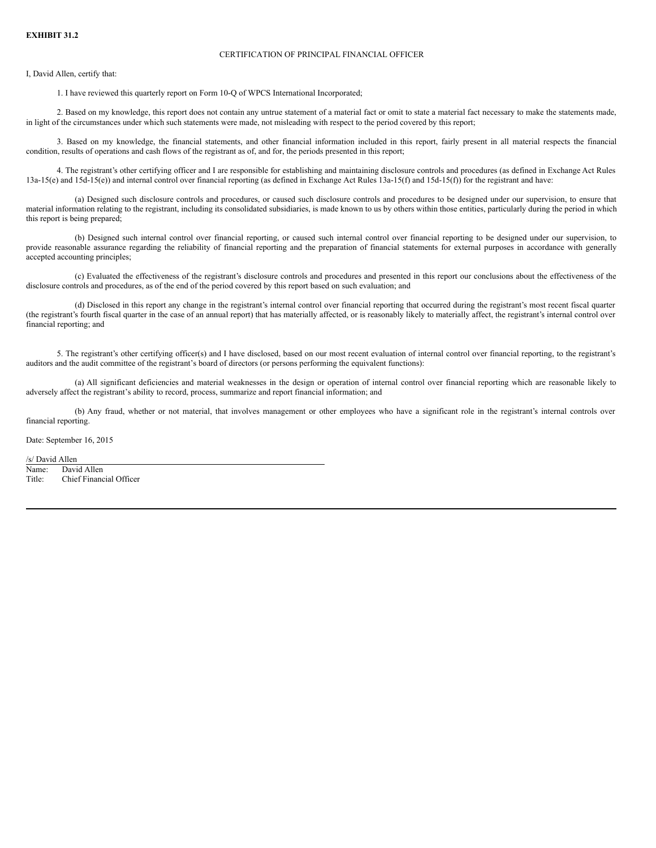#### CERTIFICATION OF PRINCIPAL FINANCIAL OFFICER

I, David Allen, certify that:

1. I have reviewed this quarterly report on Form 10-Q of WPCS International Incorporated;

2. Based on my knowledge, this report does not contain any untrue statement of a material fact or omit to state a material fact necessary to make the statements made, in light of the circumstances under which such statements were made, not misleading with respect to the period covered by this report;

3. Based on my knowledge, the financial statements, and other financial information included in this report, fairly present in all material respects the financial condition, results of operations and cash flows of the registrant as of, and for, the periods presented in this report;

4. The registrant's other certifying officer and I are responsible for establishing and maintaining disclosure controls and procedures (as defined in Exchange Act Rules 13a-15(e) and 15d-15(e)) and internal control over financial reporting (as defined in Exchange Act Rules 13a-15(f) and 15d-15(f)) for the registrant and have:

(a) Designed such disclosure controls and procedures, or caused such disclosure controls and procedures to be designed under our supervision, to ensure that material information relating to the registrant, including its consolidated subsidiaries, is made known to us by others within those entities, particularly during the period in which this report is being prepared;

(b) Designed such internal control over financial reporting, or caused such internal control over financial reporting to be designed under our supervision, to provide reasonable assurance regarding the reliability of financial reporting and the preparation of financial statements for external purposes in accordance with generally accepted accounting principles;

(c) Evaluated the effectiveness of the registrant's disclosure controls and procedures and presented in this report our conclusions about the effectiveness of the disclosure controls and procedures, as of the end of the period covered by this report based on such evaluation; and

(d) Disclosed in this report any change in the registrant's internal control over financial reporting that occurred during the registrant's most recent fiscal quarter (the registrant's fourth fiscal quarter in the case of an annual report) that has materially affected, or is reasonably likely to materially affect, the registrant's internal control over financial reporting; and

5. The registrant's other certifying officer(s) and I have disclosed, based on our most recent evaluation of internal control over financial reporting, to the registrant's auditors and the audit committee of the registrant's board of directors (or persons performing the equivalent functions):

(a) All significant deficiencies and material weaknesses in the design or operation of internal control over financial reporting which are reasonable likely to adversely affect the registrant's ability to record, process, summarize and report financial information; and

(b) Any fraud, whether or not material, that involves management or other employees who have a significant role in the registrant's internal controls over financial reporting.

Date: September 16, 2015

/s/ David Allen Name: David Allen

Title: Chief Financial Officer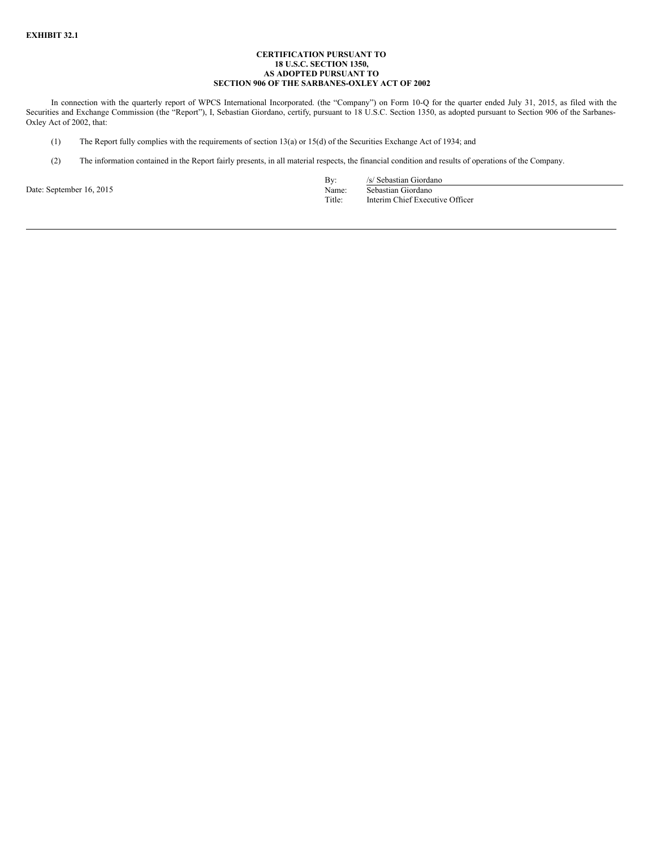### **CERTIFICATION PURSUANT TO 18 U.S.C. SECTION 1350, AS ADOPTED PURSUANT TO SECTION 906 OF THE SARBANES-OXLEY ACT OF 2002**

In connection with the quarterly report of WPCS International Incorporated. (the "Company") on Form 10-Q for the quarter ended July 31, 2015, as filed with the Securities and Exchange Commission (the "Report"), I, Sebastian Giordano, certify, pursuant to 18 U.S.C. Section 1350, as adopted pursuant to Section 906 of the Sarbanes-Oxley Act of 2002, that:

- (1) The Report fully complies with the requirements of section 13(a) or 15(d) of the Securities Exchange Act of 1934; and
- (2) The information contained in the Report fairly presents, in all material respects, the financial condition and results of operations of the Company.

Date: September 16, 2015 Name: September 16, 2015

By: /s/ Sebastian Giordano<br>Name: Sebastian Giordano Interim Chief Executive Officer